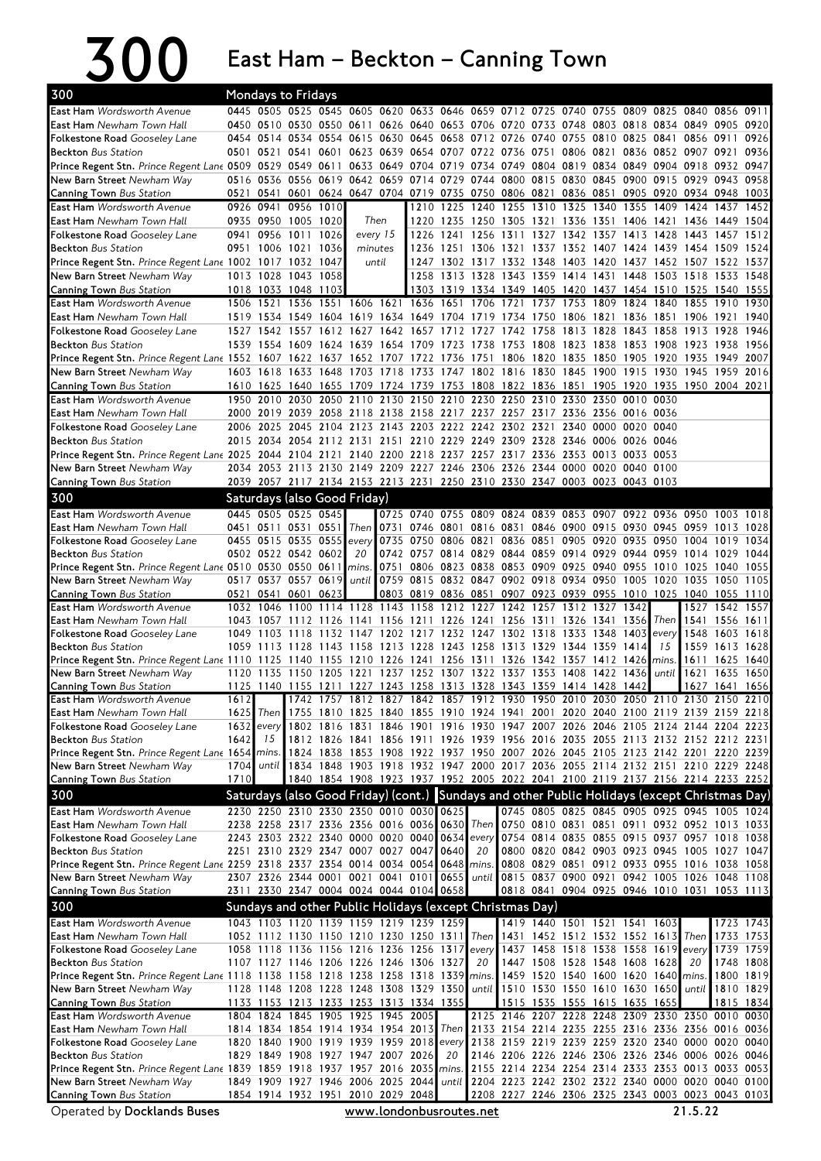## 300 East Ham – Beckton – Canning Town

| 0445 0505 0525 0545 0605 0620 0633 0646 0659 0712 0725 0740 0755 0809 0825 0840<br>0911<br>0856<br>0450 0510 0530 0550 0611 0626 0640 0653 0706 0720 0733 0748 0803 0818 0834 0849 0905<br>0920<br>0454 0514 0534 0554 0615 0630 0645 0658 0712 0726 0740 0755 0810 0825 0841 0856 0911<br>0926<br>0501 0521 0541 0601 0623 0639 0654 0707 0722 0736 0751 0806 0821 0836 0852 0907 0921<br>0936<br>Prince Regent Stn. Prince Regent Lane 0509 0529 0549 0611 0633 0649 0704 0719 0734 0749 0804 0819 0834 0849 0904 0918 0932<br>0947<br>0516 0536 0556 0619 0642 0659 0714 0729 0744 0800 0815 0830 0845 0900 0915 0929 0943 0958<br>New Barn Street Newham Way<br>0541 0601 0624 0647 0704 0719 0735 0750 0806 0821 0836 0851 0905 0920 0934 0948 1003<br><b>Canning Town Bus Station</b><br>0521<br><b>East Ham</b> Wordsworth Avenue<br>0926 0941 0956 1010<br>1210 1225 1240 1255 1310 1325 1340<br>1355<br>1409 1424<br>1437<br>1452<br>0935 0950 1005 1020<br>Then<br>1220 1235 1250 1305 1321 1336 1351 1406 1421 1436<br><b>East Ham</b> Newham Town Hall<br>1449 1504<br>Folkestone Road Gooseley Lane<br>0941 0956 1011 1026<br>every 15<br>1226<br>1241 1256<br>1311 1327 1342 1357 1413 1428 1443<br>1457<br>1512<br>0951 1006 1021 1036<br><b>Beckton</b> Bus Station<br>minutes<br>1236 1251 1306 1321 1337 1352 1407 1424 1439 1454 1509<br>1524<br>Prince Regent Stn. Prince Regent Lane 1002 1017 1032 1047<br>1247 1302 1317 1332 1348 1403 1420 1437 1452 1507 1522 1537<br>until<br>1258 1313 1328 1343 1359 1414 1431 1448 1503 1518 1533<br>New Barn Street Newham Way<br>1013 1028 1043 1058<br>1548<br>1018 1033 1048 1103<br>1303 1319 1334 1349 1405 1420 1437 1454 1510 1525 1540<br>1555<br><b>Canning Town Bus Station</b><br>1506 1521 1536 1551 1606 1621<br>1636<br>1651 1706 1721 1737 1753 1809 1824<br>1840<br>1855 1910<br>1930<br>1519 1534 1549 1604 1619 1634 1649 1704 1719 1734 1750 1806 1821 1836 1851 1906 1921<br>1940<br>1527 1542 1557 1612 1627 1642 1657 1712 1727<br>1742 1758 1813<br>1828 1843<br>1946<br>1858 1913<br>1928<br>1539 1554 1609 1624 1639 1654 1709 1723 1738 1753 1808 1823 1838 1853 1908 1923 1938 1956<br>1806 1820 1835 1850 1905 1920 1935<br>2007<br>Prince Regent Stn. Prince Regent Lane 1552 1607 1622 1637 1652 1707 1722 1736 1751<br>1949<br>1603 1618 1633 1648 1703 1718 1733 1747 1802 1816 1830 1845 1900 1915 1930 1945<br>1959<br>2016<br>1610 1625 1640 1655 1709 1724 1739 1753 1808 1822 1836 1851 1905 1920 1935 1950 2004 2021<br>1950 2010 2030 2050 2110 2130 2150 2210 2230 2250 2310 2330 2350 0010 0030<br>2000 2019 2039 2058 2118 2138 2158 2217 2237 2257 2317 2336 2356 0016 0036<br><b>East Ham</b> Newham Town Hall<br>2025 2045 2104 2123 2143 2203 2222 2242 2302 2321 2340 0000 0020 0040<br>Folkestone Road Gooseley Lane<br>2006<br>2015 2034 2054 2112 2131 2151 2210 2229 2249 2309 2328 2346 0006 0026 0046<br><b>Beckton</b> Bus Station<br>Prince Regent Stn. Prince Regent Lane 2025 2044 2104 2121 2140 2200 2218 2237 2257 2317 2336 2353 0013 0033 0053<br>2034 2053 2113 2130 2149 2209 2227 2246 2306 2326 2344 0000 0020 0040 0100<br>New Barn Street Newham Way<br>2039 2057 2117 2134 2153 2213 2231 2250 2310 2330 2347 0003 0023 0043 0103<br><b>Canning Town Bus Station</b><br>300<br>Saturdays (also Good Friday)<br><b>East Ham Wordsworth Avenue</b><br>0445 0505 0525 0545<br>0725 0740 0755 0809 0824 0839 0853 0907 0922 0936 0950 1003<br>1018<br>0451 0511 0531 0551<br><b>East Ham</b> Newham Town Hall<br>Then 0731 0746 0801 0816 0831 0846 0900 0915 0930 0945 0959 1013 1028<br>0455 0515 0535 0555<br>0735 0750 0806 0821<br>0836 0851 0905 0920 0935 0950 1004 1019<br><b>Folkestone Road</b> Gooseley Lane<br>1034<br>every<br>0742 0757 0814 0829 0844 0859 0914 0929 0944 0959 1014 1029<br>0502 0522 0542 0602<br><b>Beckton</b> Bus Station<br>20<br>1044<br>0751 0806 0823 0838 0853 0909 0925 0940 0955 1010 1025 1040 1055<br>Prince Regent Stn. Prince Regent Lane 0510 0530 0550 0611<br>mins.<br>until 0759 0815 0832 0847 0902 0918 0934 0950 1005<br>New Barn Street Newham Way<br>0517 0537 0557 0619<br>1020 1035<br>1050<br>1105<br>0803 0819 0836 0851 0907 0923 0939 0955 1010 1025 1040 1055<br>0521 0541 0601 0623<br>1110<br>1128<br>1032 1046<br>1100<br>1114<br>1143<br>1158<br>1212 1227<br>1242<br>1257<br>1312 1327<br>1342<br>1527<br>1542<br>1557<br>1141 1156 1211 1226 1241 1256 1311 1326 1341 1356<br>1556<br>1043<br>1057 1112<br>1126<br>Then $1541$<br>1611<br>1049 1103 1118 1132 1147 1202 1217 1232 1247 1302 1318 1333 1348 1403 <br>every<br>1548<br>1603 1618<br>1213 1228 1243 1258 1313 1329 1344 1359 1414<br>15<br>1559<br><b>Beckton</b> Bus Station<br>1059 1113 1128<br>1143 1158<br>1613<br>1628<br>Prince Regent Stn. Prince Regent Lane 1110 1125<br>1140 1155 1210 1226 1241 1256 1311 1326 1342 1357 1412 1426<br>mins.<br>1611<br>1625<br>1640<br>1237 1252 1307 1322 1337 1353 1408<br>until<br>1635<br>1135<br>1150 1205<br>1221<br>1422<br>1436<br>1621<br>1650<br>New Barn Street Newham Way<br>1120<br>1227 1243 1258 1313 1328 1343 1359 1414 1428 1442<br>1125 1140 1155 1211<br>1627 1641<br>1656<br><b>Canning Town</b> Bus Station<br><b>East Ham</b> Wordsworth Avenue<br>1612<br>1742 1757 1812 1827 1842 1857 1912 1930 1950 2010 2030 2050 2110 2130 2150 2210<br>1625 Then 1755 1810 1825 1840 1855 1910 1924 1941 2001 2020 2040 2100 2119 2139 2159 2218<br>1632<br>1802 1816 1831 1846 1901 1916 1930 1947 2007 2026 2046 2105 2124 2144 2204 2223<br>every<br>1642<br>15<br>1812 1826 1841 1856 1911 1926 1939 1956 2016 2035 2055 2113 2132 2152 2212 2231<br>Prince Regent Stn. Prince Regent Lane 1654 mins. 1824 1838 1853 1908 1922 1937 1950 2007 2026 2045 2105 2123 2142 2201 2220 2239<br>1704  until  1834 1848 1903 1918 1932 1947 2000 2017 2036 2055 2114 2132 2151 2210 2229 2248 <br><b>Canning Town Bus Station</b><br>1710<br>1840 1854 1908 1923 1937 1952 2005 2022 2041 2100 2119 2137 2156 2214 2233 2252<br>300<br>Saturdays (also Good Friday) (cont.) Sundays and other Public Holidays (except Christmas Day)<br>2230 2250 2310 2330 2350 0010 0030 0625<br>0745 0805 0825 0845 0905 0925 0945 1005 1024<br>Then 0750 0810 0831 0851 0911 0932 0952 1013 1033<br>2238 2258 2317 2336 2356 0016 0036 0630<br>Folkestone Road Gooseley Lane<br>2243 2303 2322 2340 0000 0020 0040 0634 every 0754 0814 0835 0855 0915 0937 0957 1018 1038<br>2251 2310 2329 2347 0007 0027 0047 0640<br>20<br>0800 0820 0842 0903 0923 0945 1005 1027 1047<br><b>Beckton</b> Bus Station<br>Prince Regent Stn. Prince Regent Lane 2259 2318 2337 2354 0014 0034 0054 0648 mins.<br>0808 0829 0851 0912 0933 0955 1016 1038 1058<br>New Barn Street Newham Way<br>2307 2326 2344 0001 0021 0041 0101 0655 until 0815 0837 0900 0921 0942 1005 1026 1048 1108 <br>0818 0841 0904 0925 0946 1010 1031 1053 1113<br><b>Canning Town Bus Station</b><br>2311 2330 2347 0004 0024 0044 0104 0658<br>300<br>Sundays and other Public Holidays (except Christmas Day)<br><b>East Ham</b> Wordsworth Avenue<br>1043 1103 1120 1139 1159 1219 1239 1259<br>1419 1440 1501 1521 1541 1603<br>1723 1743<br>1052 1112 1130 1150 1210 1230 1250 1311 Then 1431 1452 1512 1532 1552 1613 Then<br>1733 1753<br><b>East Ham</b> Newham Town Hall<br>1058 1118 1136 1156 1216 1236 1256 1317<br>1437 1458 1518 1538 1558 1619 every<br><b>Folkestone Road</b> Gooseley Lane<br>1739 1759<br>every<br><b>Beckton</b> Bus Station<br>1107 1127 1146 1206 1226 1246 1306 1327<br>20<br>1447 1508 1528 1548 1608 1628<br>1748 1808<br>20<br>1459 1520 1540 1600 1620 1640 mins.<br>1800 1819<br><b>Prince Regent Stn.</b> Prince Regent Lane 1118 1138 1158 1218 1238 1258 1318 1339 mins.<br>1128 1148 1208 1228 1248 1308 1329 1350 until 1510 1530 1550 1610 1630 1650 until<br>1810 1829<br>1133 1153 1213 1233 1253 1313 1334 1355<br>1515 1535 1555 1615 1635 1655<br>1815 1834<br>1804 1824 1845 1905 1925 1945 2005<br>2125 2146 2207 2228 2248 2309 2330 2350 0010 0030<br>1814 1834 1854 1914 1934 1954 2013 Then 2133 2154 2214 2235 2255 2316 2336 2356 0016 0036<br>1820 1840 1900 1919 1939 1959 2018 every 2138 2159 2219 2239 2259 2320 2340 0000 0020 0040<br><b>Beckton</b> Bus Station<br>1829 1849 1908 1927 1947 2007 2026<br>2146 2206 2226 2246 2306 2326 2346 0006 0026 0046<br>20<br>Prince Regent Stn. Prince Regent Lane 1839 1859 1918 1937 1957 2016 2035 mins.<br>2155 2214 2234 2254 2314 2333 2353 0013 0033 0053<br>New Barn Street Newham Way<br>1849 1909 1927 1946 2006 2025 2044<br>2204 2223 2242 2302 2322 2340 0000 0020 0040 0100<br>until  <br><b>Canning Town Bus Station</b><br>1854 1914 1932 1951 2010 2029 2048<br>2208 2227 2246 2306 2325 2343 0003 0023 0043 0103<br>21.5.22<br>Operated by Docklands Buses<br>www.londonbusroutes.net | 300                                  |  | <b>Mondays to Fridays</b> |  |  |  |  |  |  |  |  |
|------------------------------------------------------------------------------------------------------------------------------------------------------------------------------------------------------------------------------------------------------------------------------------------------------------------------------------------------------------------------------------------------------------------------------------------------------------------------------------------------------------------------------------------------------------------------------------------------------------------------------------------------------------------------------------------------------------------------------------------------------------------------------------------------------------------------------------------------------------------------------------------------------------------------------------------------------------------------------------------------------------------------------------------------------------------------------------------------------------------------------------------------------------------------------------------------------------------------------------------------------------------------------------------------------------------------------------------------------------------------------------------------------------------------------------------------------------------------------------------------------------------------------------------------------------------------------------------------------------------------------------------------------------------------------------------------------------------------------------------------------------------------------------------------------------------------------------------------------------------------------------------------------------------------------------------------------------------------------------------------------------------------------------------------------------------------------------------------------------------------------------------------------------------------------------------------------------------------------------------------------------------------------------------------------------------------------------------------------------------------------------------------------------------------------------------------------------------------------------------------------------------------------------------------------------------------------------------------------------------------------------------------------------------------------------------------------------------------------------------------------------------------------------------------------------------------------------------------------------------------------------------------------------------------------------------------------------------------------------------------------------------------------------------------------------------------------------------------------------------------------------------------------------------------------------------------------------------------------------------------------------------------------------------------------------------------------------------------------------------------------------------------------------------------------------------------------------------------------------------------------------------------------------------------------------------------------------------------------------------------------------------------------------------------------------------------------------------------------------------------------------------------------------------------------------------------------------------------------------------------------------------------------------------------------------------------------------------------------------------------------------------------------------------------------------------------------------------------------------------------------------------------------------------------------------------------------------------------------------------------------------------------------------------------------------------------------------------------------------------------------------------------------------------------------------------------------------------------------------------------------------------------------------------------------------------------------------------------------------------------------------------------------------------------------------------------------------------------------------------------------------------------------------------------------------------------------------------------------------------------------------------------------------------------------------------------------------------------------------------------------------------------------------------------------------------------------------------------------------------------------------------------------------------------------------------------------------------------------------------------------------------------------------------------------------------------------------------------------------------------------------------------------------------------------------------------------------------------------------------------------------------------------------------------------------------------------------------------------------------------------------------------------------------------------------------------------------------------------------------------------------------------------------------------------------------------------------------------------------------------------------------------------------------------------------------------------------------------------------------------------------------------------------------------------------------------------------------------------------------------------------------------------------------------------------------------------------------------------------------------------------------------------------------------------------------------------------------------------------------------------------------------------------------------------------------------------------------------------------------------------------------------------------------------------------------------------------------------------------------------------------------------------------------------------------------------------------------------------------------------------------------------------------------------------------------------------------------------------------------------------------------------------------------------------------------------------------------------------------------------------------------------------------------------------------------------------------------------------------------------------------------------------------------------------------------------------------------------------------------------------------------------------------------------------------------------------------------------------------------------------------------------------------------------------------------------------------------------------------------------------------------------------------------------------------------------------------------------------------------------------------------------------------------------------------------------------------------------------------------------------------------------------------------------------------------------------------------------------------------------------------------------------------------------------------------------------------------------------------------------------------------------------------------------------------------------------------------------------------------------------------------------------------------------------------------------------------------------------------------------------------------------------------------------------------------------------------------------------------------------------------------------------------------------------------------------------------------------------------------------------------------------------------------------------------------------------------------------------------------------------------------------------------------------------------------------------------------------------------------------------------------------------------------------------------------------------------------------------------------------------------------------|--------------------------------------|--|---------------------------|--|--|--|--|--|--|--|--|
|                                                                                                                                                                                                                                                                                                                                                                                                                                                                                                                                                                                                                                                                                                                                                                                                                                                                                                                                                                                                                                                                                                                                                                                                                                                                                                                                                                                                                                                                                                                                                                                                                                                                                                                                                                                                                                                                                                                                                                                                                                                                                                                                                                                                                                                                                                                                                                                                                                                                                                                                                                                                                                                                                                                                                                                                                                                                                                                                                                                                                                                                                                                                                                                                                                                                                                                                                                                                                                                                                                                                                                                                                                                                                                                                                                                                                                                                                                                                                                                                                                                                                                                                                                                                                                                                                                                                                                                                                                                                                                                                                                                                                                                                                                                                                                                                                                                                                                                                                                                                                                                                                                                                                                                                                                                                                                                                                                                                                                                                                                                                                                                                                                                                                                                                                                                                                                                                                                                                                                                                                                                                                                                                                                                                                                                                                                                                                                                                                                                                                                                                                                                                                                                                                                                                                                                                                                                                                                                                                                                                                                                                                                                                                                                                                                                                                                                                                                                                                                                                                                                                                                                                                                                                                                                                                                                                                                                                                                                                                                                                                                                                                                                                                                                                                                                                                                                                                                                                                                                                                                                                                                                                                                                                                                                                                                                                                                                                                                | <b>East Ham</b> Wordsworth Avenue    |  |                           |  |  |  |  |  |  |  |  |
|                                                                                                                                                                                                                                                                                                                                                                                                                                                                                                                                                                                                                                                                                                                                                                                                                                                                                                                                                                                                                                                                                                                                                                                                                                                                                                                                                                                                                                                                                                                                                                                                                                                                                                                                                                                                                                                                                                                                                                                                                                                                                                                                                                                                                                                                                                                                                                                                                                                                                                                                                                                                                                                                                                                                                                                                                                                                                                                                                                                                                                                                                                                                                                                                                                                                                                                                                                                                                                                                                                                                                                                                                                                                                                                                                                                                                                                                                                                                                                                                                                                                                                                                                                                                                                                                                                                                                                                                                                                                                                                                                                                                                                                                                                                                                                                                                                                                                                                                                                                                                                                                                                                                                                                                                                                                                                                                                                                                                                                                                                                                                                                                                                                                                                                                                                                                                                                                                                                                                                                                                                                                                                                                                                                                                                                                                                                                                                                                                                                                                                                                                                                                                                                                                                                                                                                                                                                                                                                                                                                                                                                                                                                                                                                                                                                                                                                                                                                                                                                                                                                                                                                                                                                                                                                                                                                                                                                                                                                                                                                                                                                                                                                                                                                                                                                                                                                                                                                                                                                                                                                                                                                                                                                                                                                                                                                                                                                                                                | <b>East Ham</b> Newham Town Hall     |  |                           |  |  |  |  |  |  |  |  |
|                                                                                                                                                                                                                                                                                                                                                                                                                                                                                                                                                                                                                                                                                                                                                                                                                                                                                                                                                                                                                                                                                                                                                                                                                                                                                                                                                                                                                                                                                                                                                                                                                                                                                                                                                                                                                                                                                                                                                                                                                                                                                                                                                                                                                                                                                                                                                                                                                                                                                                                                                                                                                                                                                                                                                                                                                                                                                                                                                                                                                                                                                                                                                                                                                                                                                                                                                                                                                                                                                                                                                                                                                                                                                                                                                                                                                                                                                                                                                                                                                                                                                                                                                                                                                                                                                                                                                                                                                                                                                                                                                                                                                                                                                                                                                                                                                                                                                                                                                                                                                                                                                                                                                                                                                                                                                                                                                                                                                                                                                                                                                                                                                                                                                                                                                                                                                                                                                                                                                                                                                                                                                                                                                                                                                                                                                                                                                                                                                                                                                                                                                                                                                                                                                                                                                                                                                                                                                                                                                                                                                                                                                                                                                                                                                                                                                                                                                                                                                                                                                                                                                                                                                                                                                                                                                                                                                                                                                                                                                                                                                                                                                                                                                                                                                                                                                                                                                                                                                                                                                                                                                                                                                                                                                                                                                                                                                                                                                                | <b>Folkestone Road</b> Gooseley Lane |  |                           |  |  |  |  |  |  |  |  |
|                                                                                                                                                                                                                                                                                                                                                                                                                                                                                                                                                                                                                                                                                                                                                                                                                                                                                                                                                                                                                                                                                                                                                                                                                                                                                                                                                                                                                                                                                                                                                                                                                                                                                                                                                                                                                                                                                                                                                                                                                                                                                                                                                                                                                                                                                                                                                                                                                                                                                                                                                                                                                                                                                                                                                                                                                                                                                                                                                                                                                                                                                                                                                                                                                                                                                                                                                                                                                                                                                                                                                                                                                                                                                                                                                                                                                                                                                                                                                                                                                                                                                                                                                                                                                                                                                                                                                                                                                                                                                                                                                                                                                                                                                                                                                                                                                                                                                                                                                                                                                                                                                                                                                                                                                                                                                                                                                                                                                                                                                                                                                                                                                                                                                                                                                                                                                                                                                                                                                                                                                                                                                                                                                                                                                                                                                                                                                                                                                                                                                                                                                                                                                                                                                                                                                                                                                                                                                                                                                                                                                                                                                                                                                                                                                                                                                                                                                                                                                                                                                                                                                                                                                                                                                                                                                                                                                                                                                                                                                                                                                                                                                                                                                                                                                                                                                                                                                                                                                                                                                                                                                                                                                                                                                                                                                                                                                                                                                                | <b>Beckton</b> Bus Station           |  |                           |  |  |  |  |  |  |  |  |
|                                                                                                                                                                                                                                                                                                                                                                                                                                                                                                                                                                                                                                                                                                                                                                                                                                                                                                                                                                                                                                                                                                                                                                                                                                                                                                                                                                                                                                                                                                                                                                                                                                                                                                                                                                                                                                                                                                                                                                                                                                                                                                                                                                                                                                                                                                                                                                                                                                                                                                                                                                                                                                                                                                                                                                                                                                                                                                                                                                                                                                                                                                                                                                                                                                                                                                                                                                                                                                                                                                                                                                                                                                                                                                                                                                                                                                                                                                                                                                                                                                                                                                                                                                                                                                                                                                                                                                                                                                                                                                                                                                                                                                                                                                                                                                                                                                                                                                                                                                                                                                                                                                                                                                                                                                                                                                                                                                                                                                                                                                                                                                                                                                                                                                                                                                                                                                                                                                                                                                                                                                                                                                                                                                                                                                                                                                                                                                                                                                                                                                                                                                                                                                                                                                                                                                                                                                                                                                                                                                                                                                                                                                                                                                                                                                                                                                                                                                                                                                                                                                                                                                                                                                                                                                                                                                                                                                                                                                                                                                                                                                                                                                                                                                                                                                                                                                                                                                                                                                                                                                                                                                                                                                                                                                                                                                                                                                                                                                |                                      |  |                           |  |  |  |  |  |  |  |  |
|                                                                                                                                                                                                                                                                                                                                                                                                                                                                                                                                                                                                                                                                                                                                                                                                                                                                                                                                                                                                                                                                                                                                                                                                                                                                                                                                                                                                                                                                                                                                                                                                                                                                                                                                                                                                                                                                                                                                                                                                                                                                                                                                                                                                                                                                                                                                                                                                                                                                                                                                                                                                                                                                                                                                                                                                                                                                                                                                                                                                                                                                                                                                                                                                                                                                                                                                                                                                                                                                                                                                                                                                                                                                                                                                                                                                                                                                                                                                                                                                                                                                                                                                                                                                                                                                                                                                                                                                                                                                                                                                                                                                                                                                                                                                                                                                                                                                                                                                                                                                                                                                                                                                                                                                                                                                                                                                                                                                                                                                                                                                                                                                                                                                                                                                                                                                                                                                                                                                                                                                                                                                                                                                                                                                                                                                                                                                                                                                                                                                                                                                                                                                                                                                                                                                                                                                                                                                                                                                                                                                                                                                                                                                                                                                                                                                                                                                                                                                                                                                                                                                                                                                                                                                                                                                                                                                                                                                                                                                                                                                                                                                                                                                                                                                                                                                                                                                                                                                                                                                                                                                                                                                                                                                                                                                                                                                                                                                                                |                                      |  |                           |  |  |  |  |  |  |  |  |
|                                                                                                                                                                                                                                                                                                                                                                                                                                                                                                                                                                                                                                                                                                                                                                                                                                                                                                                                                                                                                                                                                                                                                                                                                                                                                                                                                                                                                                                                                                                                                                                                                                                                                                                                                                                                                                                                                                                                                                                                                                                                                                                                                                                                                                                                                                                                                                                                                                                                                                                                                                                                                                                                                                                                                                                                                                                                                                                                                                                                                                                                                                                                                                                                                                                                                                                                                                                                                                                                                                                                                                                                                                                                                                                                                                                                                                                                                                                                                                                                                                                                                                                                                                                                                                                                                                                                                                                                                                                                                                                                                                                                                                                                                                                                                                                                                                                                                                                                                                                                                                                                                                                                                                                                                                                                                                                                                                                                                                                                                                                                                                                                                                                                                                                                                                                                                                                                                                                                                                                                                                                                                                                                                                                                                                                                                                                                                                                                                                                                                                                                                                                                                                                                                                                                                                                                                                                                                                                                                                                                                                                                                                                                                                                                                                                                                                                                                                                                                                                                                                                                                                                                                                                                                                                                                                                                                                                                                                                                                                                                                                                                                                                                                                                                                                                                                                                                                                                                                                                                                                                                                                                                                                                                                                                                                                                                                                                                                                |                                      |  |                           |  |  |  |  |  |  |  |  |
|                                                                                                                                                                                                                                                                                                                                                                                                                                                                                                                                                                                                                                                                                                                                                                                                                                                                                                                                                                                                                                                                                                                                                                                                                                                                                                                                                                                                                                                                                                                                                                                                                                                                                                                                                                                                                                                                                                                                                                                                                                                                                                                                                                                                                                                                                                                                                                                                                                                                                                                                                                                                                                                                                                                                                                                                                                                                                                                                                                                                                                                                                                                                                                                                                                                                                                                                                                                                                                                                                                                                                                                                                                                                                                                                                                                                                                                                                                                                                                                                                                                                                                                                                                                                                                                                                                                                                                                                                                                                                                                                                                                                                                                                                                                                                                                                                                                                                                                                                                                                                                                                                                                                                                                                                                                                                                                                                                                                                                                                                                                                                                                                                                                                                                                                                                                                                                                                                                                                                                                                                                                                                                                                                                                                                                                                                                                                                                                                                                                                                                                                                                                                                                                                                                                                                                                                                                                                                                                                                                                                                                                                                                                                                                                                                                                                                                                                                                                                                                                                                                                                                                                                                                                                                                                                                                                                                                                                                                                                                                                                                                                                                                                                                                                                                                                                                                                                                                                                                                                                                                                                                                                                                                                                                                                                                                                                                                                                                                |                                      |  |                           |  |  |  |  |  |  |  |  |
|                                                                                                                                                                                                                                                                                                                                                                                                                                                                                                                                                                                                                                                                                                                                                                                                                                                                                                                                                                                                                                                                                                                                                                                                                                                                                                                                                                                                                                                                                                                                                                                                                                                                                                                                                                                                                                                                                                                                                                                                                                                                                                                                                                                                                                                                                                                                                                                                                                                                                                                                                                                                                                                                                                                                                                                                                                                                                                                                                                                                                                                                                                                                                                                                                                                                                                                                                                                                                                                                                                                                                                                                                                                                                                                                                                                                                                                                                                                                                                                                                                                                                                                                                                                                                                                                                                                                                                                                                                                                                                                                                                                                                                                                                                                                                                                                                                                                                                                                                                                                                                                                                                                                                                                                                                                                                                                                                                                                                                                                                                                                                                                                                                                                                                                                                                                                                                                                                                                                                                                                                                                                                                                                                                                                                                                                                                                                                                                                                                                                                                                                                                                                                                                                                                                                                                                                                                                                                                                                                                                                                                                                                                                                                                                                                                                                                                                                                                                                                                                                                                                                                                                                                                                                                                                                                                                                                                                                                                                                                                                                                                                                                                                                                                                                                                                                                                                                                                                                                                                                                                                                                                                                                                                                                                                                                                                                                                                                                                |                                      |  |                           |  |  |  |  |  |  |  |  |
|                                                                                                                                                                                                                                                                                                                                                                                                                                                                                                                                                                                                                                                                                                                                                                                                                                                                                                                                                                                                                                                                                                                                                                                                                                                                                                                                                                                                                                                                                                                                                                                                                                                                                                                                                                                                                                                                                                                                                                                                                                                                                                                                                                                                                                                                                                                                                                                                                                                                                                                                                                                                                                                                                                                                                                                                                                                                                                                                                                                                                                                                                                                                                                                                                                                                                                                                                                                                                                                                                                                                                                                                                                                                                                                                                                                                                                                                                                                                                                                                                                                                                                                                                                                                                                                                                                                                                                                                                                                                                                                                                                                                                                                                                                                                                                                                                                                                                                                                                                                                                                                                                                                                                                                                                                                                                                                                                                                                                                                                                                                                                                                                                                                                                                                                                                                                                                                                                                                                                                                                                                                                                                                                                                                                                                                                                                                                                                                                                                                                                                                                                                                                                                                                                                                                                                                                                                                                                                                                                                                                                                                                                                                                                                                                                                                                                                                                                                                                                                                                                                                                                                                                                                                                                                                                                                                                                                                                                                                                                                                                                                                                                                                                                                                                                                                                                                                                                                                                                                                                                                                                                                                                                                                                                                                                                                                                                                                                                                |                                      |  |                           |  |  |  |  |  |  |  |  |
|                                                                                                                                                                                                                                                                                                                                                                                                                                                                                                                                                                                                                                                                                                                                                                                                                                                                                                                                                                                                                                                                                                                                                                                                                                                                                                                                                                                                                                                                                                                                                                                                                                                                                                                                                                                                                                                                                                                                                                                                                                                                                                                                                                                                                                                                                                                                                                                                                                                                                                                                                                                                                                                                                                                                                                                                                                                                                                                                                                                                                                                                                                                                                                                                                                                                                                                                                                                                                                                                                                                                                                                                                                                                                                                                                                                                                                                                                                                                                                                                                                                                                                                                                                                                                                                                                                                                                                                                                                                                                                                                                                                                                                                                                                                                                                                                                                                                                                                                                                                                                                                                                                                                                                                                                                                                                                                                                                                                                                                                                                                                                                                                                                                                                                                                                                                                                                                                                                                                                                                                                                                                                                                                                                                                                                                                                                                                                                                                                                                                                                                                                                                                                                                                                                                                                                                                                                                                                                                                                                                                                                                                                                                                                                                                                                                                                                                                                                                                                                                                                                                                                                                                                                                                                                                                                                                                                                                                                                                                                                                                                                                                                                                                                                                                                                                                                                                                                                                                                                                                                                                                                                                                                                                                                                                                                                                                                                                                                                |                                      |  |                           |  |  |  |  |  |  |  |  |
|                                                                                                                                                                                                                                                                                                                                                                                                                                                                                                                                                                                                                                                                                                                                                                                                                                                                                                                                                                                                                                                                                                                                                                                                                                                                                                                                                                                                                                                                                                                                                                                                                                                                                                                                                                                                                                                                                                                                                                                                                                                                                                                                                                                                                                                                                                                                                                                                                                                                                                                                                                                                                                                                                                                                                                                                                                                                                                                                                                                                                                                                                                                                                                                                                                                                                                                                                                                                                                                                                                                                                                                                                                                                                                                                                                                                                                                                                                                                                                                                                                                                                                                                                                                                                                                                                                                                                                                                                                                                                                                                                                                                                                                                                                                                                                                                                                                                                                                                                                                                                                                                                                                                                                                                                                                                                                                                                                                                                                                                                                                                                                                                                                                                                                                                                                                                                                                                                                                                                                                                                                                                                                                                                                                                                                                                                                                                                                                                                                                                                                                                                                                                                                                                                                                                                                                                                                                                                                                                                                                                                                                                                                                                                                                                                                                                                                                                                                                                                                                                                                                                                                                                                                                                                                                                                                                                                                                                                                                                                                                                                                                                                                                                                                                                                                                                                                                                                                                                                                                                                                                                                                                                                                                                                                                                                                                                                                                                                                |                                      |  |                           |  |  |  |  |  |  |  |  |
|                                                                                                                                                                                                                                                                                                                                                                                                                                                                                                                                                                                                                                                                                                                                                                                                                                                                                                                                                                                                                                                                                                                                                                                                                                                                                                                                                                                                                                                                                                                                                                                                                                                                                                                                                                                                                                                                                                                                                                                                                                                                                                                                                                                                                                                                                                                                                                                                                                                                                                                                                                                                                                                                                                                                                                                                                                                                                                                                                                                                                                                                                                                                                                                                                                                                                                                                                                                                                                                                                                                                                                                                                                                                                                                                                                                                                                                                                                                                                                                                                                                                                                                                                                                                                                                                                                                                                                                                                                                                                                                                                                                                                                                                                                                                                                                                                                                                                                                                                                                                                                                                                                                                                                                                                                                                                                                                                                                                                                                                                                                                                                                                                                                                                                                                                                                                                                                                                                                                                                                                                                                                                                                                                                                                                                                                                                                                                                                                                                                                                                                                                                                                                                                                                                                                                                                                                                                                                                                                                                                                                                                                                                                                                                                                                                                                                                                                                                                                                                                                                                                                                                                                                                                                                                                                                                                                                                                                                                                                                                                                                                                                                                                                                                                                                                                                                                                                                                                                                                                                                                                                                                                                                                                                                                                                                                                                                                                                                                |                                      |  |                           |  |  |  |  |  |  |  |  |
|                                                                                                                                                                                                                                                                                                                                                                                                                                                                                                                                                                                                                                                                                                                                                                                                                                                                                                                                                                                                                                                                                                                                                                                                                                                                                                                                                                                                                                                                                                                                                                                                                                                                                                                                                                                                                                                                                                                                                                                                                                                                                                                                                                                                                                                                                                                                                                                                                                                                                                                                                                                                                                                                                                                                                                                                                                                                                                                                                                                                                                                                                                                                                                                                                                                                                                                                                                                                                                                                                                                                                                                                                                                                                                                                                                                                                                                                                                                                                                                                                                                                                                                                                                                                                                                                                                                                                                                                                                                                                                                                                                                                                                                                                                                                                                                                                                                                                                                                                                                                                                                                                                                                                                                                                                                                                                                                                                                                                                                                                                                                                                                                                                                                                                                                                                                                                                                                                                                                                                                                                                                                                                                                                                                                                                                                                                                                                                                                                                                                                                                                                                                                                                                                                                                                                                                                                                                                                                                                                                                                                                                                                                                                                                                                                                                                                                                                                                                                                                                                                                                                                                                                                                                                                                                                                                                                                                                                                                                                                                                                                                                                                                                                                                                                                                                                                                                                                                                                                                                                                                                                                                                                                                                                                                                                                                                                                                                                                                | <b>East Ham Wordsworth Avenue</b>    |  |                           |  |  |  |  |  |  |  |  |
|                                                                                                                                                                                                                                                                                                                                                                                                                                                                                                                                                                                                                                                                                                                                                                                                                                                                                                                                                                                                                                                                                                                                                                                                                                                                                                                                                                                                                                                                                                                                                                                                                                                                                                                                                                                                                                                                                                                                                                                                                                                                                                                                                                                                                                                                                                                                                                                                                                                                                                                                                                                                                                                                                                                                                                                                                                                                                                                                                                                                                                                                                                                                                                                                                                                                                                                                                                                                                                                                                                                                                                                                                                                                                                                                                                                                                                                                                                                                                                                                                                                                                                                                                                                                                                                                                                                                                                                                                                                                                                                                                                                                                                                                                                                                                                                                                                                                                                                                                                                                                                                                                                                                                                                                                                                                                                                                                                                                                                                                                                                                                                                                                                                                                                                                                                                                                                                                                                                                                                                                                                                                                                                                                                                                                                                                                                                                                                                                                                                                                                                                                                                                                                                                                                                                                                                                                                                                                                                                                                                                                                                                                                                                                                                                                                                                                                                                                                                                                                                                                                                                                                                                                                                                                                                                                                                                                                                                                                                                                                                                                                                                                                                                                                                                                                                                                                                                                                                                                                                                                                                                                                                                                                                                                                                                                                                                                                                                                                | <b>East Ham</b> Newham Town Hall     |  |                           |  |  |  |  |  |  |  |  |
|                                                                                                                                                                                                                                                                                                                                                                                                                                                                                                                                                                                                                                                                                                                                                                                                                                                                                                                                                                                                                                                                                                                                                                                                                                                                                                                                                                                                                                                                                                                                                                                                                                                                                                                                                                                                                                                                                                                                                                                                                                                                                                                                                                                                                                                                                                                                                                                                                                                                                                                                                                                                                                                                                                                                                                                                                                                                                                                                                                                                                                                                                                                                                                                                                                                                                                                                                                                                                                                                                                                                                                                                                                                                                                                                                                                                                                                                                                                                                                                                                                                                                                                                                                                                                                                                                                                                                                                                                                                                                                                                                                                                                                                                                                                                                                                                                                                                                                                                                                                                                                                                                                                                                                                                                                                                                                                                                                                                                                                                                                                                                                                                                                                                                                                                                                                                                                                                                                                                                                                                                                                                                                                                                                                                                                                                                                                                                                                                                                                                                                                                                                                                                                                                                                                                                                                                                                                                                                                                                                                                                                                                                                                                                                                                                                                                                                                                                                                                                                                                                                                                                                                                                                                                                                                                                                                                                                                                                                                                                                                                                                                                                                                                                                                                                                                                                                                                                                                                                                                                                                                                                                                                                                                                                                                                                                                                                                                                                                | <b>Folkestone Road</b> Gooseley Lane |  |                           |  |  |  |  |  |  |  |  |
|                                                                                                                                                                                                                                                                                                                                                                                                                                                                                                                                                                                                                                                                                                                                                                                                                                                                                                                                                                                                                                                                                                                                                                                                                                                                                                                                                                                                                                                                                                                                                                                                                                                                                                                                                                                                                                                                                                                                                                                                                                                                                                                                                                                                                                                                                                                                                                                                                                                                                                                                                                                                                                                                                                                                                                                                                                                                                                                                                                                                                                                                                                                                                                                                                                                                                                                                                                                                                                                                                                                                                                                                                                                                                                                                                                                                                                                                                                                                                                                                                                                                                                                                                                                                                                                                                                                                                                                                                                                                                                                                                                                                                                                                                                                                                                                                                                                                                                                                                                                                                                                                                                                                                                                                                                                                                                                                                                                                                                                                                                                                                                                                                                                                                                                                                                                                                                                                                                                                                                                                                                                                                                                                                                                                                                                                                                                                                                                                                                                                                                                                                                                                                                                                                                                                                                                                                                                                                                                                                                                                                                                                                                                                                                                                                                                                                                                                                                                                                                                                                                                                                                                                                                                                                                                                                                                                                                                                                                                                                                                                                                                                                                                                                                                                                                                                                                                                                                                                                                                                                                                                                                                                                                                                                                                                                                                                                                                                                                | <b>Beckton</b> Bus Station           |  |                           |  |  |  |  |  |  |  |  |
|                                                                                                                                                                                                                                                                                                                                                                                                                                                                                                                                                                                                                                                                                                                                                                                                                                                                                                                                                                                                                                                                                                                                                                                                                                                                                                                                                                                                                                                                                                                                                                                                                                                                                                                                                                                                                                                                                                                                                                                                                                                                                                                                                                                                                                                                                                                                                                                                                                                                                                                                                                                                                                                                                                                                                                                                                                                                                                                                                                                                                                                                                                                                                                                                                                                                                                                                                                                                                                                                                                                                                                                                                                                                                                                                                                                                                                                                                                                                                                                                                                                                                                                                                                                                                                                                                                                                                                                                                                                                                                                                                                                                                                                                                                                                                                                                                                                                                                                                                                                                                                                                                                                                                                                                                                                                                                                                                                                                                                                                                                                                                                                                                                                                                                                                                                                                                                                                                                                                                                                                                                                                                                                                                                                                                                                                                                                                                                                                                                                                                                                                                                                                                                                                                                                                                                                                                                                                                                                                                                                                                                                                                                                                                                                                                                                                                                                                                                                                                                                                                                                                                                                                                                                                                                                                                                                                                                                                                                                                                                                                                                                                                                                                                                                                                                                                                                                                                                                                                                                                                                                                                                                                                                                                                                                                                                                                                                                                                                |                                      |  |                           |  |  |  |  |  |  |  |  |
|                                                                                                                                                                                                                                                                                                                                                                                                                                                                                                                                                                                                                                                                                                                                                                                                                                                                                                                                                                                                                                                                                                                                                                                                                                                                                                                                                                                                                                                                                                                                                                                                                                                                                                                                                                                                                                                                                                                                                                                                                                                                                                                                                                                                                                                                                                                                                                                                                                                                                                                                                                                                                                                                                                                                                                                                                                                                                                                                                                                                                                                                                                                                                                                                                                                                                                                                                                                                                                                                                                                                                                                                                                                                                                                                                                                                                                                                                                                                                                                                                                                                                                                                                                                                                                                                                                                                                                                                                                                                                                                                                                                                                                                                                                                                                                                                                                                                                                                                                                                                                                                                                                                                                                                                                                                                                                                                                                                                                                                                                                                                                                                                                                                                                                                                                                                                                                                                                                                                                                                                                                                                                                                                                                                                                                                                                                                                                                                                                                                                                                                                                                                                                                                                                                                                                                                                                                                                                                                                                                                                                                                                                                                                                                                                                                                                                                                                                                                                                                                                                                                                                                                                                                                                                                                                                                                                                                                                                                                                                                                                                                                                                                                                                                                                                                                                                                                                                                                                                                                                                                                                                                                                                                                                                                                                                                                                                                                                                                | New Barn Street Newham Way           |  |                           |  |  |  |  |  |  |  |  |
|                                                                                                                                                                                                                                                                                                                                                                                                                                                                                                                                                                                                                                                                                                                                                                                                                                                                                                                                                                                                                                                                                                                                                                                                                                                                                                                                                                                                                                                                                                                                                                                                                                                                                                                                                                                                                                                                                                                                                                                                                                                                                                                                                                                                                                                                                                                                                                                                                                                                                                                                                                                                                                                                                                                                                                                                                                                                                                                                                                                                                                                                                                                                                                                                                                                                                                                                                                                                                                                                                                                                                                                                                                                                                                                                                                                                                                                                                                                                                                                                                                                                                                                                                                                                                                                                                                                                                                                                                                                                                                                                                                                                                                                                                                                                                                                                                                                                                                                                                                                                                                                                                                                                                                                                                                                                                                                                                                                                                                                                                                                                                                                                                                                                                                                                                                                                                                                                                                                                                                                                                                                                                                                                                                                                                                                                                                                                                                                                                                                                                                                                                                                                                                                                                                                                                                                                                                                                                                                                                                                                                                                                                                                                                                                                                                                                                                                                                                                                                                                                                                                                                                                                                                                                                                                                                                                                                                                                                                                                                                                                                                                                                                                                                                                                                                                                                                                                                                                                                                                                                                                                                                                                                                                                                                                                                                                                                                                                                                | <b>Canning Town Bus Station</b>      |  |                           |  |  |  |  |  |  |  |  |
|                                                                                                                                                                                                                                                                                                                                                                                                                                                                                                                                                                                                                                                                                                                                                                                                                                                                                                                                                                                                                                                                                                                                                                                                                                                                                                                                                                                                                                                                                                                                                                                                                                                                                                                                                                                                                                                                                                                                                                                                                                                                                                                                                                                                                                                                                                                                                                                                                                                                                                                                                                                                                                                                                                                                                                                                                                                                                                                                                                                                                                                                                                                                                                                                                                                                                                                                                                                                                                                                                                                                                                                                                                                                                                                                                                                                                                                                                                                                                                                                                                                                                                                                                                                                                                                                                                                                                                                                                                                                                                                                                                                                                                                                                                                                                                                                                                                                                                                                                                                                                                                                                                                                                                                                                                                                                                                                                                                                                                                                                                                                                                                                                                                                                                                                                                                                                                                                                                                                                                                                                                                                                                                                                                                                                                                                                                                                                                                                                                                                                                                                                                                                                                                                                                                                                                                                                                                                                                                                                                                                                                                                                                                                                                                                                                                                                                                                                                                                                                                                                                                                                                                                                                                                                                                                                                                                                                                                                                                                                                                                                                                                                                                                                                                                                                                                                                                                                                                                                                                                                                                                                                                                                                                                                                                                                                                                                                                                                                | <b>East Ham</b> Wordsworth Avenue    |  |                           |  |  |  |  |  |  |  |  |
|                                                                                                                                                                                                                                                                                                                                                                                                                                                                                                                                                                                                                                                                                                                                                                                                                                                                                                                                                                                                                                                                                                                                                                                                                                                                                                                                                                                                                                                                                                                                                                                                                                                                                                                                                                                                                                                                                                                                                                                                                                                                                                                                                                                                                                                                                                                                                                                                                                                                                                                                                                                                                                                                                                                                                                                                                                                                                                                                                                                                                                                                                                                                                                                                                                                                                                                                                                                                                                                                                                                                                                                                                                                                                                                                                                                                                                                                                                                                                                                                                                                                                                                                                                                                                                                                                                                                                                                                                                                                                                                                                                                                                                                                                                                                                                                                                                                                                                                                                                                                                                                                                                                                                                                                                                                                                                                                                                                                                                                                                                                                                                                                                                                                                                                                                                                                                                                                                                                                                                                                                                                                                                                                                                                                                                                                                                                                                                                                                                                                                                                                                                                                                                                                                                                                                                                                                                                                                                                                                                                                                                                                                                                                                                                                                                                                                                                                                                                                                                                                                                                                                                                                                                                                                                                                                                                                                                                                                                                                                                                                                                                                                                                                                                                                                                                                                                                                                                                                                                                                                                                                                                                                                                                                                                                                                                                                                                                                                                |                                      |  |                           |  |  |  |  |  |  |  |  |
|                                                                                                                                                                                                                                                                                                                                                                                                                                                                                                                                                                                                                                                                                                                                                                                                                                                                                                                                                                                                                                                                                                                                                                                                                                                                                                                                                                                                                                                                                                                                                                                                                                                                                                                                                                                                                                                                                                                                                                                                                                                                                                                                                                                                                                                                                                                                                                                                                                                                                                                                                                                                                                                                                                                                                                                                                                                                                                                                                                                                                                                                                                                                                                                                                                                                                                                                                                                                                                                                                                                                                                                                                                                                                                                                                                                                                                                                                                                                                                                                                                                                                                                                                                                                                                                                                                                                                                                                                                                                                                                                                                                                                                                                                                                                                                                                                                                                                                                                                                                                                                                                                                                                                                                                                                                                                                                                                                                                                                                                                                                                                                                                                                                                                                                                                                                                                                                                                                                                                                                                                                                                                                                                                                                                                                                                                                                                                                                                                                                                                                                                                                                                                                                                                                                                                                                                                                                                                                                                                                                                                                                                                                                                                                                                                                                                                                                                                                                                                                                                                                                                                                                                                                                                                                                                                                                                                                                                                                                                                                                                                                                                                                                                                                                                                                                                                                                                                                                                                                                                                                                                                                                                                                                                                                                                                                                                                                                                                                |                                      |  |                           |  |  |  |  |  |  |  |  |
|                                                                                                                                                                                                                                                                                                                                                                                                                                                                                                                                                                                                                                                                                                                                                                                                                                                                                                                                                                                                                                                                                                                                                                                                                                                                                                                                                                                                                                                                                                                                                                                                                                                                                                                                                                                                                                                                                                                                                                                                                                                                                                                                                                                                                                                                                                                                                                                                                                                                                                                                                                                                                                                                                                                                                                                                                                                                                                                                                                                                                                                                                                                                                                                                                                                                                                                                                                                                                                                                                                                                                                                                                                                                                                                                                                                                                                                                                                                                                                                                                                                                                                                                                                                                                                                                                                                                                                                                                                                                                                                                                                                                                                                                                                                                                                                                                                                                                                                                                                                                                                                                                                                                                                                                                                                                                                                                                                                                                                                                                                                                                                                                                                                                                                                                                                                                                                                                                                                                                                                                                                                                                                                                                                                                                                                                                                                                                                                                                                                                                                                                                                                                                                                                                                                                                                                                                                                                                                                                                                                                                                                                                                                                                                                                                                                                                                                                                                                                                                                                                                                                                                                                                                                                                                                                                                                                                                                                                                                                                                                                                                                                                                                                                                                                                                                                                                                                                                                                                                                                                                                                                                                                                                                                                                                                                                                                                                                                                                |                                      |  |                           |  |  |  |  |  |  |  |  |
|                                                                                                                                                                                                                                                                                                                                                                                                                                                                                                                                                                                                                                                                                                                                                                                                                                                                                                                                                                                                                                                                                                                                                                                                                                                                                                                                                                                                                                                                                                                                                                                                                                                                                                                                                                                                                                                                                                                                                                                                                                                                                                                                                                                                                                                                                                                                                                                                                                                                                                                                                                                                                                                                                                                                                                                                                                                                                                                                                                                                                                                                                                                                                                                                                                                                                                                                                                                                                                                                                                                                                                                                                                                                                                                                                                                                                                                                                                                                                                                                                                                                                                                                                                                                                                                                                                                                                                                                                                                                                                                                                                                                                                                                                                                                                                                                                                                                                                                                                                                                                                                                                                                                                                                                                                                                                                                                                                                                                                                                                                                                                                                                                                                                                                                                                                                                                                                                                                                                                                                                                                                                                                                                                                                                                                                                                                                                                                                                                                                                                                                                                                                                                                                                                                                                                                                                                                                                                                                                                                                                                                                                                                                                                                                                                                                                                                                                                                                                                                                                                                                                                                                                                                                                                                                                                                                                                                                                                                                                                                                                                                                                                                                                                                                                                                                                                                                                                                                                                                                                                                                                                                                                                                                                                                                                                                                                                                                                                                |                                      |  |                           |  |  |  |  |  |  |  |  |
|                                                                                                                                                                                                                                                                                                                                                                                                                                                                                                                                                                                                                                                                                                                                                                                                                                                                                                                                                                                                                                                                                                                                                                                                                                                                                                                                                                                                                                                                                                                                                                                                                                                                                                                                                                                                                                                                                                                                                                                                                                                                                                                                                                                                                                                                                                                                                                                                                                                                                                                                                                                                                                                                                                                                                                                                                                                                                                                                                                                                                                                                                                                                                                                                                                                                                                                                                                                                                                                                                                                                                                                                                                                                                                                                                                                                                                                                                                                                                                                                                                                                                                                                                                                                                                                                                                                                                                                                                                                                                                                                                                                                                                                                                                                                                                                                                                                                                                                                                                                                                                                                                                                                                                                                                                                                                                                                                                                                                                                                                                                                                                                                                                                                                                                                                                                                                                                                                                                                                                                                                                                                                                                                                                                                                                                                                                                                                                                                                                                                                                                                                                                                                                                                                                                                                                                                                                                                                                                                                                                                                                                                                                                                                                                                                                                                                                                                                                                                                                                                                                                                                                                                                                                                                                                                                                                                                                                                                                                                                                                                                                                                                                                                                                                                                                                                                                                                                                                                                                                                                                                                                                                                                                                                                                                                                                                                                                                                                                |                                      |  |                           |  |  |  |  |  |  |  |  |
|                                                                                                                                                                                                                                                                                                                                                                                                                                                                                                                                                                                                                                                                                                                                                                                                                                                                                                                                                                                                                                                                                                                                                                                                                                                                                                                                                                                                                                                                                                                                                                                                                                                                                                                                                                                                                                                                                                                                                                                                                                                                                                                                                                                                                                                                                                                                                                                                                                                                                                                                                                                                                                                                                                                                                                                                                                                                                                                                                                                                                                                                                                                                                                                                                                                                                                                                                                                                                                                                                                                                                                                                                                                                                                                                                                                                                                                                                                                                                                                                                                                                                                                                                                                                                                                                                                                                                                                                                                                                                                                                                                                                                                                                                                                                                                                                                                                                                                                                                                                                                                                                                                                                                                                                                                                                                                                                                                                                                                                                                                                                                                                                                                                                                                                                                                                                                                                                                                                                                                                                                                                                                                                                                                                                                                                                                                                                                                                                                                                                                                                                                                                                                                                                                                                                                                                                                                                                                                                                                                                                                                                                                                                                                                                                                                                                                                                                                                                                                                                                                                                                                                                                                                                                                                                                                                                                                                                                                                                                                                                                                                                                                                                                                                                                                                                                                                                                                                                                                                                                                                                                                                                                                                                                                                                                                                                                                                                                                                |                                      |  |                           |  |  |  |  |  |  |  |  |
|                                                                                                                                                                                                                                                                                                                                                                                                                                                                                                                                                                                                                                                                                                                                                                                                                                                                                                                                                                                                                                                                                                                                                                                                                                                                                                                                                                                                                                                                                                                                                                                                                                                                                                                                                                                                                                                                                                                                                                                                                                                                                                                                                                                                                                                                                                                                                                                                                                                                                                                                                                                                                                                                                                                                                                                                                                                                                                                                                                                                                                                                                                                                                                                                                                                                                                                                                                                                                                                                                                                                                                                                                                                                                                                                                                                                                                                                                                                                                                                                                                                                                                                                                                                                                                                                                                                                                                                                                                                                                                                                                                                                                                                                                                                                                                                                                                                                                                                                                                                                                                                                                                                                                                                                                                                                                                                                                                                                                                                                                                                                                                                                                                                                                                                                                                                                                                                                                                                                                                                                                                                                                                                                                                                                                                                                                                                                                                                                                                                                                                                                                                                                                                                                                                                                                                                                                                                                                                                                                                                                                                                                                                                                                                                                                                                                                                                                                                                                                                                                                                                                                                                                                                                                                                                                                                                                                                                                                                                                                                                                                                                                                                                                                                                                                                                                                                                                                                                                                                                                                                                                                                                                                                                                                                                                                                                                                                                                                                |                                      |  |                           |  |  |  |  |  |  |  |  |
|                                                                                                                                                                                                                                                                                                                                                                                                                                                                                                                                                                                                                                                                                                                                                                                                                                                                                                                                                                                                                                                                                                                                                                                                                                                                                                                                                                                                                                                                                                                                                                                                                                                                                                                                                                                                                                                                                                                                                                                                                                                                                                                                                                                                                                                                                                                                                                                                                                                                                                                                                                                                                                                                                                                                                                                                                                                                                                                                                                                                                                                                                                                                                                                                                                                                                                                                                                                                                                                                                                                                                                                                                                                                                                                                                                                                                                                                                                                                                                                                                                                                                                                                                                                                                                                                                                                                                                                                                                                                                                                                                                                                                                                                                                                                                                                                                                                                                                                                                                                                                                                                                                                                                                                                                                                                                                                                                                                                                                                                                                                                                                                                                                                                                                                                                                                                                                                                                                                                                                                                                                                                                                                                                                                                                                                                                                                                                                                                                                                                                                                                                                                                                                                                                                                                                                                                                                                                                                                                                                                                                                                                                                                                                                                                                                                                                                                                                                                                                                                                                                                                                                                                                                                                                                                                                                                                                                                                                                                                                                                                                                                                                                                                                                                                                                                                                                                                                                                                                                                                                                                                                                                                                                                                                                                                                                                                                                                                                                |                                      |  |                           |  |  |  |  |  |  |  |  |
|                                                                                                                                                                                                                                                                                                                                                                                                                                                                                                                                                                                                                                                                                                                                                                                                                                                                                                                                                                                                                                                                                                                                                                                                                                                                                                                                                                                                                                                                                                                                                                                                                                                                                                                                                                                                                                                                                                                                                                                                                                                                                                                                                                                                                                                                                                                                                                                                                                                                                                                                                                                                                                                                                                                                                                                                                                                                                                                                                                                                                                                                                                                                                                                                                                                                                                                                                                                                                                                                                                                                                                                                                                                                                                                                                                                                                                                                                                                                                                                                                                                                                                                                                                                                                                                                                                                                                                                                                                                                                                                                                                                                                                                                                                                                                                                                                                                                                                                                                                                                                                                                                                                                                                                                                                                                                                                                                                                                                                                                                                                                                                                                                                                                                                                                                                                                                                                                                                                                                                                                                                                                                                                                                                                                                                                                                                                                                                                                                                                                                                                                                                                                                                                                                                                                                                                                                                                                                                                                                                                                                                                                                                                                                                                                                                                                                                                                                                                                                                                                                                                                                                                                                                                                                                                                                                                                                                                                                                                                                                                                                                                                                                                                                                                                                                                                                                                                                                                                                                                                                                                                                                                                                                                                                                                                                                                                                                                                                                |                                      |  |                           |  |  |  |  |  |  |  |  |
|                                                                                                                                                                                                                                                                                                                                                                                                                                                                                                                                                                                                                                                                                                                                                                                                                                                                                                                                                                                                                                                                                                                                                                                                                                                                                                                                                                                                                                                                                                                                                                                                                                                                                                                                                                                                                                                                                                                                                                                                                                                                                                                                                                                                                                                                                                                                                                                                                                                                                                                                                                                                                                                                                                                                                                                                                                                                                                                                                                                                                                                                                                                                                                                                                                                                                                                                                                                                                                                                                                                                                                                                                                                                                                                                                                                                                                                                                                                                                                                                                                                                                                                                                                                                                                                                                                                                                                                                                                                                                                                                                                                                                                                                                                                                                                                                                                                                                                                                                                                                                                                                                                                                                                                                                                                                                                                                                                                                                                                                                                                                                                                                                                                                                                                                                                                                                                                                                                                                                                                                                                                                                                                                                                                                                                                                                                                                                                                                                                                                                                                                                                                                                                                                                                                                                                                                                                                                                                                                                                                                                                                                                                                                                                                                                                                                                                                                                                                                                                                                                                                                                                                                                                                                                                                                                                                                                                                                                                                                                                                                                                                                                                                                                                                                                                                                                                                                                                                                                                                                                                                                                                                                                                                                                                                                                                                                                                                                                                |                                      |  |                           |  |  |  |  |  |  |  |  |
|                                                                                                                                                                                                                                                                                                                                                                                                                                                                                                                                                                                                                                                                                                                                                                                                                                                                                                                                                                                                                                                                                                                                                                                                                                                                                                                                                                                                                                                                                                                                                                                                                                                                                                                                                                                                                                                                                                                                                                                                                                                                                                                                                                                                                                                                                                                                                                                                                                                                                                                                                                                                                                                                                                                                                                                                                                                                                                                                                                                                                                                                                                                                                                                                                                                                                                                                                                                                                                                                                                                                                                                                                                                                                                                                                                                                                                                                                                                                                                                                                                                                                                                                                                                                                                                                                                                                                                                                                                                                                                                                                                                                                                                                                                                                                                                                                                                                                                                                                                                                                                                                                                                                                                                                                                                                                                                                                                                                                                                                                                                                                                                                                                                                                                                                                                                                                                                                                                                                                                                                                                                                                                                                                                                                                                                                                                                                                                                                                                                                                                                                                                                                                                                                                                                                                                                                                                                                                                                                                                                                                                                                                                                                                                                                                                                                                                                                                                                                                                                                                                                                                                                                                                                                                                                                                                                                                                                                                                                                                                                                                                                                                                                                                                                                                                                                                                                                                                                                                                                                                                                                                                                                                                                                                                                                                                                                                                                                                                |                                      |  |                           |  |  |  |  |  |  |  |  |
|                                                                                                                                                                                                                                                                                                                                                                                                                                                                                                                                                                                                                                                                                                                                                                                                                                                                                                                                                                                                                                                                                                                                                                                                                                                                                                                                                                                                                                                                                                                                                                                                                                                                                                                                                                                                                                                                                                                                                                                                                                                                                                                                                                                                                                                                                                                                                                                                                                                                                                                                                                                                                                                                                                                                                                                                                                                                                                                                                                                                                                                                                                                                                                                                                                                                                                                                                                                                                                                                                                                                                                                                                                                                                                                                                                                                                                                                                                                                                                                                                                                                                                                                                                                                                                                                                                                                                                                                                                                                                                                                                                                                                                                                                                                                                                                                                                                                                                                                                                                                                                                                                                                                                                                                                                                                                                                                                                                                                                                                                                                                                                                                                                                                                                                                                                                                                                                                                                                                                                                                                                                                                                                                                                                                                                                                                                                                                                                                                                                                                                                                                                                                                                                                                                                                                                                                                                                                                                                                                                                                                                                                                                                                                                                                                                                                                                                                                                                                                                                                                                                                                                                                                                                                                                                                                                                                                                                                                                                                                                                                                                                                                                                                                                                                                                                                                                                                                                                                                                                                                                                                                                                                                                                                                                                                                                                                                                                                                                |                                      |  |                           |  |  |  |  |  |  |  |  |
|                                                                                                                                                                                                                                                                                                                                                                                                                                                                                                                                                                                                                                                                                                                                                                                                                                                                                                                                                                                                                                                                                                                                                                                                                                                                                                                                                                                                                                                                                                                                                                                                                                                                                                                                                                                                                                                                                                                                                                                                                                                                                                                                                                                                                                                                                                                                                                                                                                                                                                                                                                                                                                                                                                                                                                                                                                                                                                                                                                                                                                                                                                                                                                                                                                                                                                                                                                                                                                                                                                                                                                                                                                                                                                                                                                                                                                                                                                                                                                                                                                                                                                                                                                                                                                                                                                                                                                                                                                                                                                                                                                                                                                                                                                                                                                                                                                                                                                                                                                                                                                                                                                                                                                                                                                                                                                                                                                                                                                                                                                                                                                                                                                                                                                                                                                                                                                                                                                                                                                                                                                                                                                                                                                                                                                                                                                                                                                                                                                                                                                                                                                                                                                                                                                                                                                                                                                                                                                                                                                                                                                                                                                                                                                                                                                                                                                                                                                                                                                                                                                                                                                                                                                                                                                                                                                                                                                                                                                                                                                                                                                                                                                                                                                                                                                                                                                                                                                                                                                                                                                                                                                                                                                                                                                                                                                                                                                                                                                | <b>Canning Town Bus Station</b>      |  |                           |  |  |  |  |  |  |  |  |
|                                                                                                                                                                                                                                                                                                                                                                                                                                                                                                                                                                                                                                                                                                                                                                                                                                                                                                                                                                                                                                                                                                                                                                                                                                                                                                                                                                                                                                                                                                                                                                                                                                                                                                                                                                                                                                                                                                                                                                                                                                                                                                                                                                                                                                                                                                                                                                                                                                                                                                                                                                                                                                                                                                                                                                                                                                                                                                                                                                                                                                                                                                                                                                                                                                                                                                                                                                                                                                                                                                                                                                                                                                                                                                                                                                                                                                                                                                                                                                                                                                                                                                                                                                                                                                                                                                                                                                                                                                                                                                                                                                                                                                                                                                                                                                                                                                                                                                                                                                                                                                                                                                                                                                                                                                                                                                                                                                                                                                                                                                                                                                                                                                                                                                                                                                                                                                                                                                                                                                                                                                                                                                                                                                                                                                                                                                                                                                                                                                                                                                                                                                                                                                                                                                                                                                                                                                                                                                                                                                                                                                                                                                                                                                                                                                                                                                                                                                                                                                                                                                                                                                                                                                                                                                                                                                                                                                                                                                                                                                                                                                                                                                                                                                                                                                                                                                                                                                                                                                                                                                                                                                                                                                                                                                                                                                                                                                                                                                | East Ham Wordsworth Avenue           |  |                           |  |  |  |  |  |  |  |  |
|                                                                                                                                                                                                                                                                                                                                                                                                                                                                                                                                                                                                                                                                                                                                                                                                                                                                                                                                                                                                                                                                                                                                                                                                                                                                                                                                                                                                                                                                                                                                                                                                                                                                                                                                                                                                                                                                                                                                                                                                                                                                                                                                                                                                                                                                                                                                                                                                                                                                                                                                                                                                                                                                                                                                                                                                                                                                                                                                                                                                                                                                                                                                                                                                                                                                                                                                                                                                                                                                                                                                                                                                                                                                                                                                                                                                                                                                                                                                                                                                                                                                                                                                                                                                                                                                                                                                                                                                                                                                                                                                                                                                                                                                                                                                                                                                                                                                                                                                                                                                                                                                                                                                                                                                                                                                                                                                                                                                                                                                                                                                                                                                                                                                                                                                                                                                                                                                                                                                                                                                                                                                                                                                                                                                                                                                                                                                                                                                                                                                                                                                                                                                                                                                                                                                                                                                                                                                                                                                                                                                                                                                                                                                                                                                                                                                                                                                                                                                                                                                                                                                                                                                                                                                                                                                                                                                                                                                                                                                                                                                                                                                                                                                                                                                                                                                                                                                                                                                                                                                                                                                                                                                                                                                                                                                                                                                                                                                                                | <b>East Ham</b> Newham Town Hall     |  |                           |  |  |  |  |  |  |  |  |
|                                                                                                                                                                                                                                                                                                                                                                                                                                                                                                                                                                                                                                                                                                                                                                                                                                                                                                                                                                                                                                                                                                                                                                                                                                                                                                                                                                                                                                                                                                                                                                                                                                                                                                                                                                                                                                                                                                                                                                                                                                                                                                                                                                                                                                                                                                                                                                                                                                                                                                                                                                                                                                                                                                                                                                                                                                                                                                                                                                                                                                                                                                                                                                                                                                                                                                                                                                                                                                                                                                                                                                                                                                                                                                                                                                                                                                                                                                                                                                                                                                                                                                                                                                                                                                                                                                                                                                                                                                                                                                                                                                                                                                                                                                                                                                                                                                                                                                                                                                                                                                                                                                                                                                                                                                                                                                                                                                                                                                                                                                                                                                                                                                                                                                                                                                                                                                                                                                                                                                                                                                                                                                                                                                                                                                                                                                                                                                                                                                                                                                                                                                                                                                                                                                                                                                                                                                                                                                                                                                                                                                                                                                                                                                                                                                                                                                                                                                                                                                                                                                                                                                                                                                                                                                                                                                                                                                                                                                                                                                                                                                                                                                                                                                                                                                                                                                                                                                                                                                                                                                                                                                                                                                                                                                                                                                                                                                                                                                | <b>Folkestone Road</b> Gooseley Lane |  |                           |  |  |  |  |  |  |  |  |
|                                                                                                                                                                                                                                                                                                                                                                                                                                                                                                                                                                                                                                                                                                                                                                                                                                                                                                                                                                                                                                                                                                                                                                                                                                                                                                                                                                                                                                                                                                                                                                                                                                                                                                                                                                                                                                                                                                                                                                                                                                                                                                                                                                                                                                                                                                                                                                                                                                                                                                                                                                                                                                                                                                                                                                                                                                                                                                                                                                                                                                                                                                                                                                                                                                                                                                                                                                                                                                                                                                                                                                                                                                                                                                                                                                                                                                                                                                                                                                                                                                                                                                                                                                                                                                                                                                                                                                                                                                                                                                                                                                                                                                                                                                                                                                                                                                                                                                                                                                                                                                                                                                                                                                                                                                                                                                                                                                                                                                                                                                                                                                                                                                                                                                                                                                                                                                                                                                                                                                                                                                                                                                                                                                                                                                                                                                                                                                                                                                                                                                                                                                                                                                                                                                                                                                                                                                                                                                                                                                                                                                                                                                                                                                                                                                                                                                                                                                                                                                                                                                                                                                                                                                                                                                                                                                                                                                                                                                                                                                                                                                                                                                                                                                                                                                                                                                                                                                                                                                                                                                                                                                                                                                                                                                                                                                                                                                                                                                |                                      |  |                           |  |  |  |  |  |  |  |  |
|                                                                                                                                                                                                                                                                                                                                                                                                                                                                                                                                                                                                                                                                                                                                                                                                                                                                                                                                                                                                                                                                                                                                                                                                                                                                                                                                                                                                                                                                                                                                                                                                                                                                                                                                                                                                                                                                                                                                                                                                                                                                                                                                                                                                                                                                                                                                                                                                                                                                                                                                                                                                                                                                                                                                                                                                                                                                                                                                                                                                                                                                                                                                                                                                                                                                                                                                                                                                                                                                                                                                                                                                                                                                                                                                                                                                                                                                                                                                                                                                                                                                                                                                                                                                                                                                                                                                                                                                                                                                                                                                                                                                                                                                                                                                                                                                                                                                                                                                                                                                                                                                                                                                                                                                                                                                                                                                                                                                                                                                                                                                                                                                                                                                                                                                                                                                                                                                                                                                                                                                                                                                                                                                                                                                                                                                                                                                                                                                                                                                                                                                                                                                                                                                                                                                                                                                                                                                                                                                                                                                                                                                                                                                                                                                                                                                                                                                                                                                                                                                                                                                                                                                                                                                                                                                                                                                                                                                                                                                                                                                                                                                                                                                                                                                                                                                                                                                                                                                                                                                                                                                                                                                                                                                                                                                                                                                                                                                                                |                                      |  |                           |  |  |  |  |  |  |  |  |
|                                                                                                                                                                                                                                                                                                                                                                                                                                                                                                                                                                                                                                                                                                                                                                                                                                                                                                                                                                                                                                                                                                                                                                                                                                                                                                                                                                                                                                                                                                                                                                                                                                                                                                                                                                                                                                                                                                                                                                                                                                                                                                                                                                                                                                                                                                                                                                                                                                                                                                                                                                                                                                                                                                                                                                                                                                                                                                                                                                                                                                                                                                                                                                                                                                                                                                                                                                                                                                                                                                                                                                                                                                                                                                                                                                                                                                                                                                                                                                                                                                                                                                                                                                                                                                                                                                                                                                                                                                                                                                                                                                                                                                                                                                                                                                                                                                                                                                                                                                                                                                                                                                                                                                                                                                                                                                                                                                                                                                                                                                                                                                                                                                                                                                                                                                                                                                                                                                                                                                                                                                                                                                                                                                                                                                                                                                                                                                                                                                                                                                                                                                                                                                                                                                                                                                                                                                                                                                                                                                                                                                                                                                                                                                                                                                                                                                                                                                                                                                                                                                                                                                                                                                                                                                                                                                                                                                                                                                                                                                                                                                                                                                                                                                                                                                                                                                                                                                                                                                                                                                                                                                                                                                                                                                                                                                                                                                                                                                |                                      |  |                           |  |  |  |  |  |  |  |  |
|                                                                                                                                                                                                                                                                                                                                                                                                                                                                                                                                                                                                                                                                                                                                                                                                                                                                                                                                                                                                                                                                                                                                                                                                                                                                                                                                                                                                                                                                                                                                                                                                                                                                                                                                                                                                                                                                                                                                                                                                                                                                                                                                                                                                                                                                                                                                                                                                                                                                                                                                                                                                                                                                                                                                                                                                                                                                                                                                                                                                                                                                                                                                                                                                                                                                                                                                                                                                                                                                                                                                                                                                                                                                                                                                                                                                                                                                                                                                                                                                                                                                                                                                                                                                                                                                                                                                                                                                                                                                                                                                                                                                                                                                                                                                                                                                                                                                                                                                                                                                                                                                                                                                                                                                                                                                                                                                                                                                                                                                                                                                                                                                                                                                                                                                                                                                                                                                                                                                                                                                                                                                                                                                                                                                                                                                                                                                                                                                                                                                                                                                                                                                                                                                                                                                                                                                                                                                                                                                                                                                                                                                                                                                                                                                                                                                                                                                                                                                                                                                                                                                                                                                                                                                                                                                                                                                                                                                                                                                                                                                                                                                                                                                                                                                                                                                                                                                                                                                                                                                                                                                                                                                                                                                                                                                                                                                                                                                                                |                                      |  |                           |  |  |  |  |  |  |  |  |
|                                                                                                                                                                                                                                                                                                                                                                                                                                                                                                                                                                                                                                                                                                                                                                                                                                                                                                                                                                                                                                                                                                                                                                                                                                                                                                                                                                                                                                                                                                                                                                                                                                                                                                                                                                                                                                                                                                                                                                                                                                                                                                                                                                                                                                                                                                                                                                                                                                                                                                                                                                                                                                                                                                                                                                                                                                                                                                                                                                                                                                                                                                                                                                                                                                                                                                                                                                                                                                                                                                                                                                                                                                                                                                                                                                                                                                                                                                                                                                                                                                                                                                                                                                                                                                                                                                                                                                                                                                                                                                                                                                                                                                                                                                                                                                                                                                                                                                                                                                                                                                                                                                                                                                                                                                                                                                                                                                                                                                                                                                                                                                                                                                                                                                                                                                                                                                                                                                                                                                                                                                                                                                                                                                                                                                                                                                                                                                                                                                                                                                                                                                                                                                                                                                                                                                                                                                                                                                                                                                                                                                                                                                                                                                                                                                                                                                                                                                                                                                                                                                                                                                                                                                                                                                                                                                                                                                                                                                                                                                                                                                                                                                                                                                                                                                                                                                                                                                                                                                                                                                                                                                                                                                                                                                                                                                                                                                                                                                | East Ham Newham Town Hall            |  |                           |  |  |  |  |  |  |  |  |
|                                                                                                                                                                                                                                                                                                                                                                                                                                                                                                                                                                                                                                                                                                                                                                                                                                                                                                                                                                                                                                                                                                                                                                                                                                                                                                                                                                                                                                                                                                                                                                                                                                                                                                                                                                                                                                                                                                                                                                                                                                                                                                                                                                                                                                                                                                                                                                                                                                                                                                                                                                                                                                                                                                                                                                                                                                                                                                                                                                                                                                                                                                                                                                                                                                                                                                                                                                                                                                                                                                                                                                                                                                                                                                                                                                                                                                                                                                                                                                                                                                                                                                                                                                                                                                                                                                                                                                                                                                                                                                                                                                                                                                                                                                                                                                                                                                                                                                                                                                                                                                                                                                                                                                                                                                                                                                                                                                                                                                                                                                                                                                                                                                                                                                                                                                                                                                                                                                                                                                                                                                                                                                                                                                                                                                                                                                                                                                                                                                                                                                                                                                                                                                                                                                                                                                                                                                                                                                                                                                                                                                                                                                                                                                                                                                                                                                                                                                                                                                                                                                                                                                                                                                                                                                                                                                                                                                                                                                                                                                                                                                                                                                                                                                                                                                                                                                                                                                                                                                                                                                                                                                                                                                                                                                                                                                                                                                                                                                | Folkestone Road Gooseley Lane        |  |                           |  |  |  |  |  |  |  |  |
|                                                                                                                                                                                                                                                                                                                                                                                                                                                                                                                                                                                                                                                                                                                                                                                                                                                                                                                                                                                                                                                                                                                                                                                                                                                                                                                                                                                                                                                                                                                                                                                                                                                                                                                                                                                                                                                                                                                                                                                                                                                                                                                                                                                                                                                                                                                                                                                                                                                                                                                                                                                                                                                                                                                                                                                                                                                                                                                                                                                                                                                                                                                                                                                                                                                                                                                                                                                                                                                                                                                                                                                                                                                                                                                                                                                                                                                                                                                                                                                                                                                                                                                                                                                                                                                                                                                                                                                                                                                                                                                                                                                                                                                                                                                                                                                                                                                                                                                                                                                                                                                                                                                                                                                                                                                                                                                                                                                                                                                                                                                                                                                                                                                                                                                                                                                                                                                                                                                                                                                                                                                                                                                                                                                                                                                                                                                                                                                                                                                                                                                                                                                                                                                                                                                                                                                                                                                                                                                                                                                                                                                                                                                                                                                                                                                                                                                                                                                                                                                                                                                                                                                                                                                                                                                                                                                                                                                                                                                                                                                                                                                                                                                                                                                                                                                                                                                                                                                                                                                                                                                                                                                                                                                                                                                                                                                                                                                                                                | <b>Beckton Bus Station</b>           |  |                           |  |  |  |  |  |  |  |  |
|                                                                                                                                                                                                                                                                                                                                                                                                                                                                                                                                                                                                                                                                                                                                                                                                                                                                                                                                                                                                                                                                                                                                                                                                                                                                                                                                                                                                                                                                                                                                                                                                                                                                                                                                                                                                                                                                                                                                                                                                                                                                                                                                                                                                                                                                                                                                                                                                                                                                                                                                                                                                                                                                                                                                                                                                                                                                                                                                                                                                                                                                                                                                                                                                                                                                                                                                                                                                                                                                                                                                                                                                                                                                                                                                                                                                                                                                                                                                                                                                                                                                                                                                                                                                                                                                                                                                                                                                                                                                                                                                                                                                                                                                                                                                                                                                                                                                                                                                                                                                                                                                                                                                                                                                                                                                                                                                                                                                                                                                                                                                                                                                                                                                                                                                                                                                                                                                                                                                                                                                                                                                                                                                                                                                                                                                                                                                                                                                                                                                                                                                                                                                                                                                                                                                                                                                                                                                                                                                                                                                                                                                                                                                                                                                                                                                                                                                                                                                                                                                                                                                                                                                                                                                                                                                                                                                                                                                                                                                                                                                                                                                                                                                                                                                                                                                                                                                                                                                                                                                                                                                                                                                                                                                                                                                                                                                                                                                                                |                                      |  |                           |  |  |  |  |  |  |  |  |
|                                                                                                                                                                                                                                                                                                                                                                                                                                                                                                                                                                                                                                                                                                                                                                                                                                                                                                                                                                                                                                                                                                                                                                                                                                                                                                                                                                                                                                                                                                                                                                                                                                                                                                                                                                                                                                                                                                                                                                                                                                                                                                                                                                                                                                                                                                                                                                                                                                                                                                                                                                                                                                                                                                                                                                                                                                                                                                                                                                                                                                                                                                                                                                                                                                                                                                                                                                                                                                                                                                                                                                                                                                                                                                                                                                                                                                                                                                                                                                                                                                                                                                                                                                                                                                                                                                                                                                                                                                                                                                                                                                                                                                                                                                                                                                                                                                                                                                                                                                                                                                                                                                                                                                                                                                                                                                                                                                                                                                                                                                                                                                                                                                                                                                                                                                                                                                                                                                                                                                                                                                                                                                                                                                                                                                                                                                                                                                                                                                                                                                                                                                                                                                                                                                                                                                                                                                                                                                                                                                                                                                                                                                                                                                                                                                                                                                                                                                                                                                                                                                                                                                                                                                                                                                                                                                                                                                                                                                                                                                                                                                                                                                                                                                                                                                                                                                                                                                                                                                                                                                                                                                                                                                                                                                                                                                                                                                                                                                | New Barn Street Newham Way           |  |                           |  |  |  |  |  |  |  |  |
|                                                                                                                                                                                                                                                                                                                                                                                                                                                                                                                                                                                                                                                                                                                                                                                                                                                                                                                                                                                                                                                                                                                                                                                                                                                                                                                                                                                                                                                                                                                                                                                                                                                                                                                                                                                                                                                                                                                                                                                                                                                                                                                                                                                                                                                                                                                                                                                                                                                                                                                                                                                                                                                                                                                                                                                                                                                                                                                                                                                                                                                                                                                                                                                                                                                                                                                                                                                                                                                                                                                                                                                                                                                                                                                                                                                                                                                                                                                                                                                                                                                                                                                                                                                                                                                                                                                                                                                                                                                                                                                                                                                                                                                                                                                                                                                                                                                                                                                                                                                                                                                                                                                                                                                                                                                                                                                                                                                                                                                                                                                                                                                                                                                                                                                                                                                                                                                                                                                                                                                                                                                                                                                                                                                                                                                                                                                                                                                                                                                                                                                                                                                                                                                                                                                                                                                                                                                                                                                                                                                                                                                                                                                                                                                                                                                                                                                                                                                                                                                                                                                                                                                                                                                                                                                                                                                                                                                                                                                                                                                                                                                                                                                                                                                                                                                                                                                                                                                                                                                                                                                                                                                                                                                                                                                                                                                                                                                                                                |                                      |  |                           |  |  |  |  |  |  |  |  |
|                                                                                                                                                                                                                                                                                                                                                                                                                                                                                                                                                                                                                                                                                                                                                                                                                                                                                                                                                                                                                                                                                                                                                                                                                                                                                                                                                                                                                                                                                                                                                                                                                                                                                                                                                                                                                                                                                                                                                                                                                                                                                                                                                                                                                                                                                                                                                                                                                                                                                                                                                                                                                                                                                                                                                                                                                                                                                                                                                                                                                                                                                                                                                                                                                                                                                                                                                                                                                                                                                                                                                                                                                                                                                                                                                                                                                                                                                                                                                                                                                                                                                                                                                                                                                                                                                                                                                                                                                                                                                                                                                                                                                                                                                                                                                                                                                                                                                                                                                                                                                                                                                                                                                                                                                                                                                                                                                                                                                                                                                                                                                                                                                                                                                                                                                                                                                                                                                                                                                                                                                                                                                                                                                                                                                                                                                                                                                                                                                                                                                                                                                                                                                                                                                                                                                                                                                                                                                                                                                                                                                                                                                                                                                                                                                                                                                                                                                                                                                                                                                                                                                                                                                                                                                                                                                                                                                                                                                                                                                                                                                                                                                                                                                                                                                                                                                                                                                                                                                                                                                                                                                                                                                                                                                                                                                                                                                                                                                                |                                      |  |                           |  |  |  |  |  |  |  |  |
|                                                                                                                                                                                                                                                                                                                                                                                                                                                                                                                                                                                                                                                                                                                                                                                                                                                                                                                                                                                                                                                                                                                                                                                                                                                                                                                                                                                                                                                                                                                                                                                                                                                                                                                                                                                                                                                                                                                                                                                                                                                                                                                                                                                                                                                                                                                                                                                                                                                                                                                                                                                                                                                                                                                                                                                                                                                                                                                                                                                                                                                                                                                                                                                                                                                                                                                                                                                                                                                                                                                                                                                                                                                                                                                                                                                                                                                                                                                                                                                                                                                                                                                                                                                                                                                                                                                                                                                                                                                                                                                                                                                                                                                                                                                                                                                                                                                                                                                                                                                                                                                                                                                                                                                                                                                                                                                                                                                                                                                                                                                                                                                                                                                                                                                                                                                                                                                                                                                                                                                                                                                                                                                                                                                                                                                                                                                                                                                                                                                                                                                                                                                                                                                                                                                                                                                                                                                                                                                                                                                                                                                                                                                                                                                                                                                                                                                                                                                                                                                                                                                                                                                                                                                                                                                                                                                                                                                                                                                                                                                                                                                                                                                                                                                                                                                                                                                                                                                                                                                                                                                                                                                                                                                                                                                                                                                                                                                                                                | East Ham Wordsworth Avenue           |  |                           |  |  |  |  |  |  |  |  |
|                                                                                                                                                                                                                                                                                                                                                                                                                                                                                                                                                                                                                                                                                                                                                                                                                                                                                                                                                                                                                                                                                                                                                                                                                                                                                                                                                                                                                                                                                                                                                                                                                                                                                                                                                                                                                                                                                                                                                                                                                                                                                                                                                                                                                                                                                                                                                                                                                                                                                                                                                                                                                                                                                                                                                                                                                                                                                                                                                                                                                                                                                                                                                                                                                                                                                                                                                                                                                                                                                                                                                                                                                                                                                                                                                                                                                                                                                                                                                                                                                                                                                                                                                                                                                                                                                                                                                                                                                                                                                                                                                                                                                                                                                                                                                                                                                                                                                                                                                                                                                                                                                                                                                                                                                                                                                                                                                                                                                                                                                                                                                                                                                                                                                                                                                                                                                                                                                                                                                                                                                                                                                                                                                                                                                                                                                                                                                                                                                                                                                                                                                                                                                                                                                                                                                                                                                                                                                                                                                                                                                                                                                                                                                                                                                                                                                                                                                                                                                                                                                                                                                                                                                                                                                                                                                                                                                                                                                                                                                                                                                                                                                                                                                                                                                                                                                                                                                                                                                                                                                                                                                                                                                                                                                                                                                                                                                                                                                                | <b>East Ham</b> Newham Town Hall     |  |                           |  |  |  |  |  |  |  |  |
|                                                                                                                                                                                                                                                                                                                                                                                                                                                                                                                                                                                                                                                                                                                                                                                                                                                                                                                                                                                                                                                                                                                                                                                                                                                                                                                                                                                                                                                                                                                                                                                                                                                                                                                                                                                                                                                                                                                                                                                                                                                                                                                                                                                                                                                                                                                                                                                                                                                                                                                                                                                                                                                                                                                                                                                                                                                                                                                                                                                                                                                                                                                                                                                                                                                                                                                                                                                                                                                                                                                                                                                                                                                                                                                                                                                                                                                                                                                                                                                                                                                                                                                                                                                                                                                                                                                                                                                                                                                                                                                                                                                                                                                                                                                                                                                                                                                                                                                                                                                                                                                                                                                                                                                                                                                                                                                                                                                                                                                                                                                                                                                                                                                                                                                                                                                                                                                                                                                                                                                                                                                                                                                                                                                                                                                                                                                                                                                                                                                                                                                                                                                                                                                                                                                                                                                                                                                                                                                                                                                                                                                                                                                                                                                                                                                                                                                                                                                                                                                                                                                                                                                                                                                                                                                                                                                                                                                                                                                                                                                                                                                                                                                                                                                                                                                                                                                                                                                                                                                                                                                                                                                                                                                                                                                                                                                                                                                                                                |                                      |  |                           |  |  |  |  |  |  |  |  |
|                                                                                                                                                                                                                                                                                                                                                                                                                                                                                                                                                                                                                                                                                                                                                                                                                                                                                                                                                                                                                                                                                                                                                                                                                                                                                                                                                                                                                                                                                                                                                                                                                                                                                                                                                                                                                                                                                                                                                                                                                                                                                                                                                                                                                                                                                                                                                                                                                                                                                                                                                                                                                                                                                                                                                                                                                                                                                                                                                                                                                                                                                                                                                                                                                                                                                                                                                                                                                                                                                                                                                                                                                                                                                                                                                                                                                                                                                                                                                                                                                                                                                                                                                                                                                                                                                                                                                                                                                                                                                                                                                                                                                                                                                                                                                                                                                                                                                                                                                                                                                                                                                                                                                                                                                                                                                                                                                                                                                                                                                                                                                                                                                                                                                                                                                                                                                                                                                                                                                                                                                                                                                                                                                                                                                                                                                                                                                                                                                                                                                                                                                                                                                                                                                                                                                                                                                                                                                                                                                                                                                                                                                                                                                                                                                                                                                                                                                                                                                                                                                                                                                                                                                                                                                                                                                                                                                                                                                                                                                                                                                                                                                                                                                                                                                                                                                                                                                                                                                                                                                                                                                                                                                                                                                                                                                                                                                                                                                                |                                      |  |                           |  |  |  |  |  |  |  |  |
|                                                                                                                                                                                                                                                                                                                                                                                                                                                                                                                                                                                                                                                                                                                                                                                                                                                                                                                                                                                                                                                                                                                                                                                                                                                                                                                                                                                                                                                                                                                                                                                                                                                                                                                                                                                                                                                                                                                                                                                                                                                                                                                                                                                                                                                                                                                                                                                                                                                                                                                                                                                                                                                                                                                                                                                                                                                                                                                                                                                                                                                                                                                                                                                                                                                                                                                                                                                                                                                                                                                                                                                                                                                                                                                                                                                                                                                                                                                                                                                                                                                                                                                                                                                                                                                                                                                                                                                                                                                                                                                                                                                                                                                                                                                                                                                                                                                                                                                                                                                                                                                                                                                                                                                                                                                                                                                                                                                                                                                                                                                                                                                                                                                                                                                                                                                                                                                                                                                                                                                                                                                                                                                                                                                                                                                                                                                                                                                                                                                                                                                                                                                                                                                                                                                                                                                                                                                                                                                                                                                                                                                                                                                                                                                                                                                                                                                                                                                                                                                                                                                                                                                                                                                                                                                                                                                                                                                                                                                                                                                                                                                                                                                                                                                                                                                                                                                                                                                                                                                                                                                                                                                                                                                                                                                                                                                                                                                                                                |                                      |  |                           |  |  |  |  |  |  |  |  |
|                                                                                                                                                                                                                                                                                                                                                                                                                                                                                                                                                                                                                                                                                                                                                                                                                                                                                                                                                                                                                                                                                                                                                                                                                                                                                                                                                                                                                                                                                                                                                                                                                                                                                                                                                                                                                                                                                                                                                                                                                                                                                                                                                                                                                                                                                                                                                                                                                                                                                                                                                                                                                                                                                                                                                                                                                                                                                                                                                                                                                                                                                                                                                                                                                                                                                                                                                                                                                                                                                                                                                                                                                                                                                                                                                                                                                                                                                                                                                                                                                                                                                                                                                                                                                                                                                                                                                                                                                                                                                                                                                                                                                                                                                                                                                                                                                                                                                                                                                                                                                                                                                                                                                                                                                                                                                                                                                                                                                                                                                                                                                                                                                                                                                                                                                                                                                                                                                                                                                                                                                                                                                                                                                                                                                                                                                                                                                                                                                                                                                                                                                                                                                                                                                                                                                                                                                                                                                                                                                                                                                                                                                                                                                                                                                                                                                                                                                                                                                                                                                                                                                                                                                                                                                                                                                                                                                                                                                                                                                                                                                                                                                                                                                                                                                                                                                                                                                                                                                                                                                                                                                                                                                                                                                                                                                                                                                                                                                                |                                      |  |                           |  |  |  |  |  |  |  |  |
|                                                                                                                                                                                                                                                                                                                                                                                                                                                                                                                                                                                                                                                                                                                                                                                                                                                                                                                                                                                                                                                                                                                                                                                                                                                                                                                                                                                                                                                                                                                                                                                                                                                                                                                                                                                                                                                                                                                                                                                                                                                                                                                                                                                                                                                                                                                                                                                                                                                                                                                                                                                                                                                                                                                                                                                                                                                                                                                                                                                                                                                                                                                                                                                                                                                                                                                                                                                                                                                                                                                                                                                                                                                                                                                                                                                                                                                                                                                                                                                                                                                                                                                                                                                                                                                                                                                                                                                                                                                                                                                                                                                                                                                                                                                                                                                                                                                                                                                                                                                                                                                                                                                                                                                                                                                                                                                                                                                                                                                                                                                                                                                                                                                                                                                                                                                                                                                                                                                                                                                                                                                                                                                                                                                                                                                                                                                                                                                                                                                                                                                                                                                                                                                                                                                                                                                                                                                                                                                                                                                                                                                                                                                                                                                                                                                                                                                                                                                                                                                                                                                                                                                                                                                                                                                                                                                                                                                                                                                                                                                                                                                                                                                                                                                                                                                                                                                                                                                                                                                                                                                                                                                                                                                                                                                                                                                                                                                                                                |                                      |  |                           |  |  |  |  |  |  |  |  |
|                                                                                                                                                                                                                                                                                                                                                                                                                                                                                                                                                                                                                                                                                                                                                                                                                                                                                                                                                                                                                                                                                                                                                                                                                                                                                                                                                                                                                                                                                                                                                                                                                                                                                                                                                                                                                                                                                                                                                                                                                                                                                                                                                                                                                                                                                                                                                                                                                                                                                                                                                                                                                                                                                                                                                                                                                                                                                                                                                                                                                                                                                                                                                                                                                                                                                                                                                                                                                                                                                                                                                                                                                                                                                                                                                                                                                                                                                                                                                                                                                                                                                                                                                                                                                                                                                                                                                                                                                                                                                                                                                                                                                                                                                                                                                                                                                                                                                                                                                                                                                                                                                                                                                                                                                                                                                                                                                                                                                                                                                                                                                                                                                                                                                                                                                                                                                                                                                                                                                                                                                                                                                                                                                                                                                                                                                                                                                                                                                                                                                                                                                                                                                                                                                                                                                                                                                                                                                                                                                                                                                                                                                                                                                                                                                                                                                                                                                                                                                                                                                                                                                                                                                                                                                                                                                                                                                                                                                                                                                                                                                                                                                                                                                                                                                                                                                                                                                                                                                                                                                                                                                                                                                                                                                                                                                                                                                                                                                                |                                      |  |                           |  |  |  |  |  |  |  |  |
|                                                                                                                                                                                                                                                                                                                                                                                                                                                                                                                                                                                                                                                                                                                                                                                                                                                                                                                                                                                                                                                                                                                                                                                                                                                                                                                                                                                                                                                                                                                                                                                                                                                                                                                                                                                                                                                                                                                                                                                                                                                                                                                                                                                                                                                                                                                                                                                                                                                                                                                                                                                                                                                                                                                                                                                                                                                                                                                                                                                                                                                                                                                                                                                                                                                                                                                                                                                                                                                                                                                                                                                                                                                                                                                                                                                                                                                                                                                                                                                                                                                                                                                                                                                                                                                                                                                                                                                                                                                                                                                                                                                                                                                                                                                                                                                                                                                                                                                                                                                                                                                                                                                                                                                                                                                                                                                                                                                                                                                                                                                                                                                                                                                                                                                                                                                                                                                                                                                                                                                                                                                                                                                                                                                                                                                                                                                                                                                                                                                                                                                                                                                                                                                                                                                                                                                                                                                                                                                                                                                                                                                                                                                                                                                                                                                                                                                                                                                                                                                                                                                                                                                                                                                                                                                                                                                                                                                                                                                                                                                                                                                                                                                                                                                                                                                                                                                                                                                                                                                                                                                                                                                                                                                                                                                                                                                                                                                                                                |                                      |  |                           |  |  |  |  |  |  |  |  |
|                                                                                                                                                                                                                                                                                                                                                                                                                                                                                                                                                                                                                                                                                                                                                                                                                                                                                                                                                                                                                                                                                                                                                                                                                                                                                                                                                                                                                                                                                                                                                                                                                                                                                                                                                                                                                                                                                                                                                                                                                                                                                                                                                                                                                                                                                                                                                                                                                                                                                                                                                                                                                                                                                                                                                                                                                                                                                                                                                                                                                                                                                                                                                                                                                                                                                                                                                                                                                                                                                                                                                                                                                                                                                                                                                                                                                                                                                                                                                                                                                                                                                                                                                                                                                                                                                                                                                                                                                                                                                                                                                                                                                                                                                                                                                                                                                                                                                                                                                                                                                                                                                                                                                                                                                                                                                                                                                                                                                                                                                                                                                                                                                                                                                                                                                                                                                                                                                                                                                                                                                                                                                                                                                                                                                                                                                                                                                                                                                                                                                                                                                                                                                                                                                                                                                                                                                                                                                                                                                                                                                                                                                                                                                                                                                                                                                                                                                                                                                                                                                                                                                                                                                                                                                                                                                                                                                                                                                                                                                                                                                                                                                                                                                                                                                                                                                                                                                                                                                                                                                                                                                                                                                                                                                                                                                                                                                                                                                                |                                      |  |                           |  |  |  |  |  |  |  |  |
|                                                                                                                                                                                                                                                                                                                                                                                                                                                                                                                                                                                                                                                                                                                                                                                                                                                                                                                                                                                                                                                                                                                                                                                                                                                                                                                                                                                                                                                                                                                                                                                                                                                                                                                                                                                                                                                                                                                                                                                                                                                                                                                                                                                                                                                                                                                                                                                                                                                                                                                                                                                                                                                                                                                                                                                                                                                                                                                                                                                                                                                                                                                                                                                                                                                                                                                                                                                                                                                                                                                                                                                                                                                                                                                                                                                                                                                                                                                                                                                                                                                                                                                                                                                                                                                                                                                                                                                                                                                                                                                                                                                                                                                                                                                                                                                                                                                                                                                                                                                                                                                                                                                                                                                                                                                                                                                                                                                                                                                                                                                                                                                                                                                                                                                                                                                                                                                                                                                                                                                                                                                                                                                                                                                                                                                                                                                                                                                                                                                                                                                                                                                                                                                                                                                                                                                                                                                                                                                                                                                                                                                                                                                                                                                                                                                                                                                                                                                                                                                                                                                                                                                                                                                                                                                                                                                                                                                                                                                                                                                                                                                                                                                                                                                                                                                                                                                                                                                                                                                                                                                                                                                                                                                                                                                                                                                                                                                                                                |                                      |  |                           |  |  |  |  |  |  |  |  |
|                                                                                                                                                                                                                                                                                                                                                                                                                                                                                                                                                                                                                                                                                                                                                                                                                                                                                                                                                                                                                                                                                                                                                                                                                                                                                                                                                                                                                                                                                                                                                                                                                                                                                                                                                                                                                                                                                                                                                                                                                                                                                                                                                                                                                                                                                                                                                                                                                                                                                                                                                                                                                                                                                                                                                                                                                                                                                                                                                                                                                                                                                                                                                                                                                                                                                                                                                                                                                                                                                                                                                                                                                                                                                                                                                                                                                                                                                                                                                                                                                                                                                                                                                                                                                                                                                                                                                                                                                                                                                                                                                                                                                                                                                                                                                                                                                                                                                                                                                                                                                                                                                                                                                                                                                                                                                                                                                                                                                                                                                                                                                                                                                                                                                                                                                                                                                                                                                                                                                                                                                                                                                                                                                                                                                                                                                                                                                                                                                                                                                                                                                                                                                                                                                                                                                                                                                                                                                                                                                                                                                                                                                                                                                                                                                                                                                                                                                                                                                                                                                                                                                                                                                                                                                                                                                                                                                                                                                                                                                                                                                                                                                                                                                                                                                                                                                                                                                                                                                                                                                                                                                                                                                                                                                                                                                                                                                                                                                                |                                      |  |                           |  |  |  |  |  |  |  |  |
|                                                                                                                                                                                                                                                                                                                                                                                                                                                                                                                                                                                                                                                                                                                                                                                                                                                                                                                                                                                                                                                                                                                                                                                                                                                                                                                                                                                                                                                                                                                                                                                                                                                                                                                                                                                                                                                                                                                                                                                                                                                                                                                                                                                                                                                                                                                                                                                                                                                                                                                                                                                                                                                                                                                                                                                                                                                                                                                                                                                                                                                                                                                                                                                                                                                                                                                                                                                                                                                                                                                                                                                                                                                                                                                                                                                                                                                                                                                                                                                                                                                                                                                                                                                                                                                                                                                                                                                                                                                                                                                                                                                                                                                                                                                                                                                                                                                                                                                                                                                                                                                                                                                                                                                                                                                                                                                                                                                                                                                                                                                                                                                                                                                                                                                                                                                                                                                                                                                                                                                                                                                                                                                                                                                                                                                                                                                                                                                                                                                                                                                                                                                                                                                                                                                                                                                                                                                                                                                                                                                                                                                                                                                                                                                                                                                                                                                                                                                                                                                                                                                                                                                                                                                                                                                                                                                                                                                                                                                                                                                                                                                                                                                                                                                                                                                                                                                                                                                                                                                                                                                                                                                                                                                                                                                                                                                                                                                                                                | New Barn Street Newham Way           |  |                           |  |  |  |  |  |  |  |  |
|                                                                                                                                                                                                                                                                                                                                                                                                                                                                                                                                                                                                                                                                                                                                                                                                                                                                                                                                                                                                                                                                                                                                                                                                                                                                                                                                                                                                                                                                                                                                                                                                                                                                                                                                                                                                                                                                                                                                                                                                                                                                                                                                                                                                                                                                                                                                                                                                                                                                                                                                                                                                                                                                                                                                                                                                                                                                                                                                                                                                                                                                                                                                                                                                                                                                                                                                                                                                                                                                                                                                                                                                                                                                                                                                                                                                                                                                                                                                                                                                                                                                                                                                                                                                                                                                                                                                                                                                                                                                                                                                                                                                                                                                                                                                                                                                                                                                                                                                                                                                                                                                                                                                                                                                                                                                                                                                                                                                                                                                                                                                                                                                                                                                                                                                                                                                                                                                                                                                                                                                                                                                                                                                                                                                                                                                                                                                                                                                                                                                                                                                                                                                                                                                                                                                                                                                                                                                                                                                                                                                                                                                                                                                                                                                                                                                                                                                                                                                                                                                                                                                                                                                                                                                                                                                                                                                                                                                                                                                                                                                                                                                                                                                                                                                                                                                                                                                                                                                                                                                                                                                                                                                                                                                                                                                                                                                                                                                                                | <b>Canning Town Bus Station</b>      |  |                           |  |  |  |  |  |  |  |  |
|                                                                                                                                                                                                                                                                                                                                                                                                                                                                                                                                                                                                                                                                                                                                                                                                                                                                                                                                                                                                                                                                                                                                                                                                                                                                                                                                                                                                                                                                                                                                                                                                                                                                                                                                                                                                                                                                                                                                                                                                                                                                                                                                                                                                                                                                                                                                                                                                                                                                                                                                                                                                                                                                                                                                                                                                                                                                                                                                                                                                                                                                                                                                                                                                                                                                                                                                                                                                                                                                                                                                                                                                                                                                                                                                                                                                                                                                                                                                                                                                                                                                                                                                                                                                                                                                                                                                                                                                                                                                                                                                                                                                                                                                                                                                                                                                                                                                                                                                                                                                                                                                                                                                                                                                                                                                                                                                                                                                                                                                                                                                                                                                                                                                                                                                                                                                                                                                                                                                                                                                                                                                                                                                                                                                                                                                                                                                                                                                                                                                                                                                                                                                                                                                                                                                                                                                                                                                                                                                                                                                                                                                                                                                                                                                                                                                                                                                                                                                                                                                                                                                                                                                                                                                                                                                                                                                                                                                                                                                                                                                                                                                                                                                                                                                                                                                                                                                                                                                                                                                                                                                                                                                                                                                                                                                                                                                                                                                                                | East Ham Wordsworth Avenue           |  |                           |  |  |  |  |  |  |  |  |
|                                                                                                                                                                                                                                                                                                                                                                                                                                                                                                                                                                                                                                                                                                                                                                                                                                                                                                                                                                                                                                                                                                                                                                                                                                                                                                                                                                                                                                                                                                                                                                                                                                                                                                                                                                                                                                                                                                                                                                                                                                                                                                                                                                                                                                                                                                                                                                                                                                                                                                                                                                                                                                                                                                                                                                                                                                                                                                                                                                                                                                                                                                                                                                                                                                                                                                                                                                                                                                                                                                                                                                                                                                                                                                                                                                                                                                                                                                                                                                                                                                                                                                                                                                                                                                                                                                                                                                                                                                                                                                                                                                                                                                                                                                                                                                                                                                                                                                                                                                                                                                                                                                                                                                                                                                                                                                                                                                                                                                                                                                                                                                                                                                                                                                                                                                                                                                                                                                                                                                                                                                                                                                                                                                                                                                                                                                                                                                                                                                                                                                                                                                                                                                                                                                                                                                                                                                                                                                                                                                                                                                                                                                                                                                                                                                                                                                                                                                                                                                                                                                                                                                                                                                                                                                                                                                                                                                                                                                                                                                                                                                                                                                                                                                                                                                                                                                                                                                                                                                                                                                                                                                                                                                                                                                                                                                                                                                                                                                | <b>East Ham</b> Newham Town Hall     |  |                           |  |  |  |  |  |  |  |  |
|                                                                                                                                                                                                                                                                                                                                                                                                                                                                                                                                                                                                                                                                                                                                                                                                                                                                                                                                                                                                                                                                                                                                                                                                                                                                                                                                                                                                                                                                                                                                                                                                                                                                                                                                                                                                                                                                                                                                                                                                                                                                                                                                                                                                                                                                                                                                                                                                                                                                                                                                                                                                                                                                                                                                                                                                                                                                                                                                                                                                                                                                                                                                                                                                                                                                                                                                                                                                                                                                                                                                                                                                                                                                                                                                                                                                                                                                                                                                                                                                                                                                                                                                                                                                                                                                                                                                                                                                                                                                                                                                                                                                                                                                                                                                                                                                                                                                                                                                                                                                                                                                                                                                                                                                                                                                                                                                                                                                                                                                                                                                                                                                                                                                                                                                                                                                                                                                                                                                                                                                                                                                                                                                                                                                                                                                                                                                                                                                                                                                                                                                                                                                                                                                                                                                                                                                                                                                                                                                                                                                                                                                                                                                                                                                                                                                                                                                                                                                                                                                                                                                                                                                                                                                                                                                                                                                                                                                                                                                                                                                                                                                                                                                                                                                                                                                                                                                                                                                                                                                                                                                                                                                                                                                                                                                                                                                                                                                                                | <b>Folkestone Road</b> Gooseley Lane |  |                           |  |  |  |  |  |  |  |  |
|                                                                                                                                                                                                                                                                                                                                                                                                                                                                                                                                                                                                                                                                                                                                                                                                                                                                                                                                                                                                                                                                                                                                                                                                                                                                                                                                                                                                                                                                                                                                                                                                                                                                                                                                                                                                                                                                                                                                                                                                                                                                                                                                                                                                                                                                                                                                                                                                                                                                                                                                                                                                                                                                                                                                                                                                                                                                                                                                                                                                                                                                                                                                                                                                                                                                                                                                                                                                                                                                                                                                                                                                                                                                                                                                                                                                                                                                                                                                                                                                                                                                                                                                                                                                                                                                                                                                                                                                                                                                                                                                                                                                                                                                                                                                                                                                                                                                                                                                                                                                                                                                                                                                                                                                                                                                                                                                                                                                                                                                                                                                                                                                                                                                                                                                                                                                                                                                                                                                                                                                                                                                                                                                                                                                                                                                                                                                                                                                                                                                                                                                                                                                                                                                                                                                                                                                                                                                                                                                                                                                                                                                                                                                                                                                                                                                                                                                                                                                                                                                                                                                                                                                                                                                                                                                                                                                                                                                                                                                                                                                                                                                                                                                                                                                                                                                                                                                                                                                                                                                                                                                                                                                                                                                                                                                                                                                                                                                                                |                                      |  |                           |  |  |  |  |  |  |  |  |
|                                                                                                                                                                                                                                                                                                                                                                                                                                                                                                                                                                                                                                                                                                                                                                                                                                                                                                                                                                                                                                                                                                                                                                                                                                                                                                                                                                                                                                                                                                                                                                                                                                                                                                                                                                                                                                                                                                                                                                                                                                                                                                                                                                                                                                                                                                                                                                                                                                                                                                                                                                                                                                                                                                                                                                                                                                                                                                                                                                                                                                                                                                                                                                                                                                                                                                                                                                                                                                                                                                                                                                                                                                                                                                                                                                                                                                                                                                                                                                                                                                                                                                                                                                                                                                                                                                                                                                                                                                                                                                                                                                                                                                                                                                                                                                                                                                                                                                                                                                                                                                                                                                                                                                                                                                                                                                                                                                                                                                                                                                                                                                                                                                                                                                                                                                                                                                                                                                                                                                                                                                                                                                                                                                                                                                                                                                                                                                                                                                                                                                                                                                                                                                                                                                                                                                                                                                                                                                                                                                                                                                                                                                                                                                                                                                                                                                                                                                                                                                                                                                                                                                                                                                                                                                                                                                                                                                                                                                                                                                                                                                                                                                                                                                                                                                                                                                                                                                                                                                                                                                                                                                                                                                                                                                                                                                                                                                                                                                |                                      |  |                           |  |  |  |  |  |  |  |  |
|                                                                                                                                                                                                                                                                                                                                                                                                                                                                                                                                                                                                                                                                                                                                                                                                                                                                                                                                                                                                                                                                                                                                                                                                                                                                                                                                                                                                                                                                                                                                                                                                                                                                                                                                                                                                                                                                                                                                                                                                                                                                                                                                                                                                                                                                                                                                                                                                                                                                                                                                                                                                                                                                                                                                                                                                                                                                                                                                                                                                                                                                                                                                                                                                                                                                                                                                                                                                                                                                                                                                                                                                                                                                                                                                                                                                                                                                                                                                                                                                                                                                                                                                                                                                                                                                                                                                                                                                                                                                                                                                                                                                                                                                                                                                                                                                                                                                                                                                                                                                                                                                                                                                                                                                                                                                                                                                                                                                                                                                                                                                                                                                                                                                                                                                                                                                                                                                                                                                                                                                                                                                                                                                                                                                                                                                                                                                                                                                                                                                                                                                                                                                                                                                                                                                                                                                                                                                                                                                                                                                                                                                                                                                                                                                                                                                                                                                                                                                                                                                                                                                                                                                                                                                                                                                                                                                                                                                                                                                                                                                                                                                                                                                                                                                                                                                                                                                                                                                                                                                                                                                                                                                                                                                                                                                                                                                                                                                                                |                                      |  |                           |  |  |  |  |  |  |  |  |
|                                                                                                                                                                                                                                                                                                                                                                                                                                                                                                                                                                                                                                                                                                                                                                                                                                                                                                                                                                                                                                                                                                                                                                                                                                                                                                                                                                                                                                                                                                                                                                                                                                                                                                                                                                                                                                                                                                                                                                                                                                                                                                                                                                                                                                                                                                                                                                                                                                                                                                                                                                                                                                                                                                                                                                                                                                                                                                                                                                                                                                                                                                                                                                                                                                                                                                                                                                                                                                                                                                                                                                                                                                                                                                                                                                                                                                                                                                                                                                                                                                                                                                                                                                                                                                                                                                                                                                                                                                                                                                                                                                                                                                                                                                                                                                                                                                                                                                                                                                                                                                                                                                                                                                                                                                                                                                                                                                                                                                                                                                                                                                                                                                                                                                                                                                                                                                                                                                                                                                                                                                                                                                                                                                                                                                                                                                                                                                                                                                                                                                                                                                                                                                                                                                                                                                                                                                                                                                                                                                                                                                                                                                                                                                                                                                                                                                                                                                                                                                                                                                                                                                                                                                                                                                                                                                                                                                                                                                                                                                                                                                                                                                                                                                                                                                                                                                                                                                                                                                                                                                                                                                                                                                                                                                                                                                                                                                                                                                |                                      |  |                           |  |  |  |  |  |  |  |  |